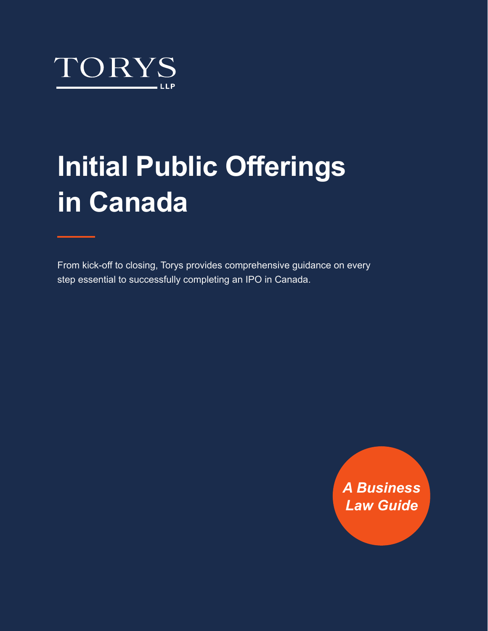

# **Initial Public Offerings in Canada**

From kick-off to closing, Torys provides comprehensive guidance on every step essential to successfully completing an IPO in Canada.

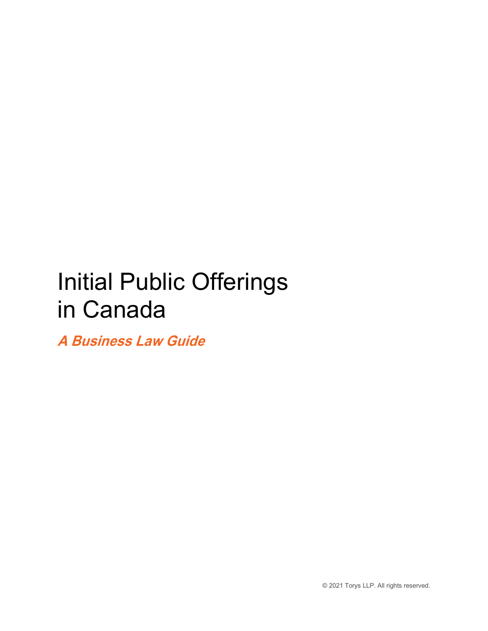## Initial Public Offerings in Canada

 **A Business Law Guide** 

© 2021 Torys LLP. All rights reserved.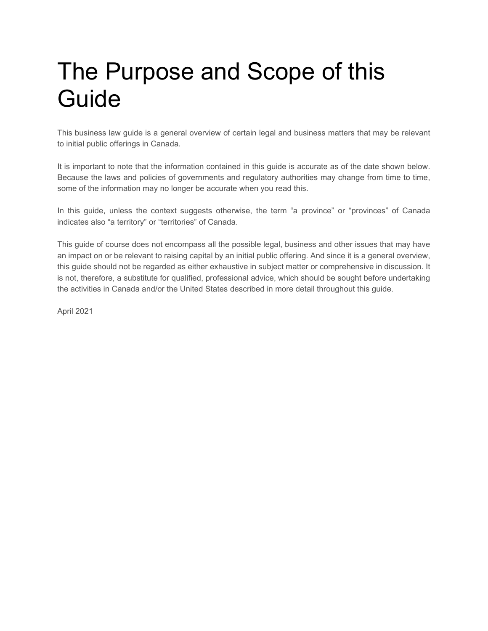## The Purpose and Scope of this Guide

This business law guide is a general overview of certain legal and business matters that may be relevant to initial public offerings in Canada.

 Because the laws and policies of governments and regulatory authorities may change from time to time, It is important to note that the information contained in this guide is accurate as of the date shown below. some of the information may no longer be accurate when you read this.

 In this guide, unless the context suggests otherwise, the term "a province" or "provinces" of Canada indicates also "a territory" or "territories" of Canada.

 is not, therefore, a substitute for qualified, professional advice, which should be sought before undertaking This guide of course does not encompass all the possible legal, business and other issues that may have an impact on or be relevant to raising capital by an initial public offering. And since it is a general overview, this guide should not be regarded as either exhaustive in subject matter or comprehensive in discussion. It the activities in Canada and/or the United States described in more detail throughout this guide.

April 2021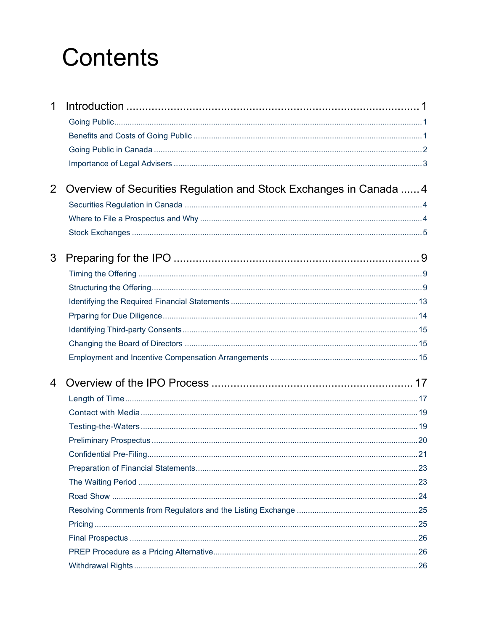## **Contents**

| 1              |                                                                    |  |
|----------------|--------------------------------------------------------------------|--|
|                |                                                                    |  |
|                |                                                                    |  |
|                |                                                                    |  |
| $\overline{2}$ | Overview of Securities Regulation and Stock Exchanges in Canada  4 |  |
|                |                                                                    |  |
|                |                                                                    |  |
|                |                                                                    |  |
| 3              |                                                                    |  |
|                |                                                                    |  |
|                |                                                                    |  |
|                |                                                                    |  |
|                |                                                                    |  |
|                |                                                                    |  |
|                |                                                                    |  |
|                |                                                                    |  |
| 4              |                                                                    |  |
|                |                                                                    |  |
|                |                                                                    |  |
|                |                                                                    |  |
|                |                                                                    |  |
|                |                                                                    |  |
|                |                                                                    |  |
|                |                                                                    |  |
|                |                                                                    |  |
|                |                                                                    |  |
|                |                                                                    |  |
|                |                                                                    |  |
|                |                                                                    |  |
|                |                                                                    |  |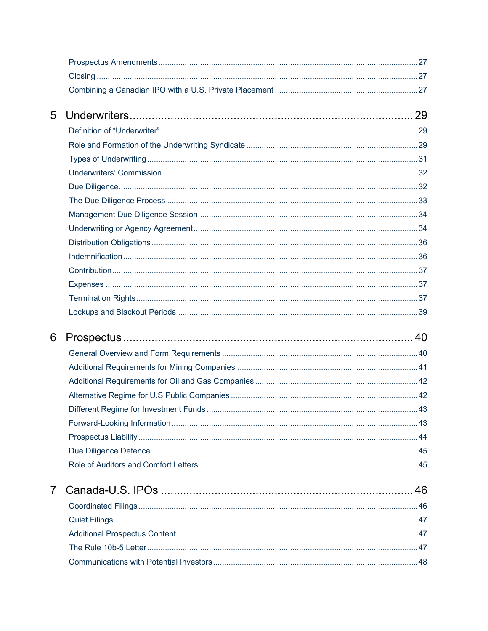| 5              |  |
|----------------|--|
|                |  |
|                |  |
|                |  |
|                |  |
|                |  |
|                |  |
|                |  |
|                |  |
|                |  |
|                |  |
|                |  |
|                |  |
|                |  |
|                |  |
| 6              |  |
|                |  |
|                |  |
|                |  |
|                |  |
|                |  |
|                |  |
|                |  |
|                |  |
|                |  |
| $\overline{7}$ |  |
|                |  |
|                |  |
|                |  |
|                |  |
|                |  |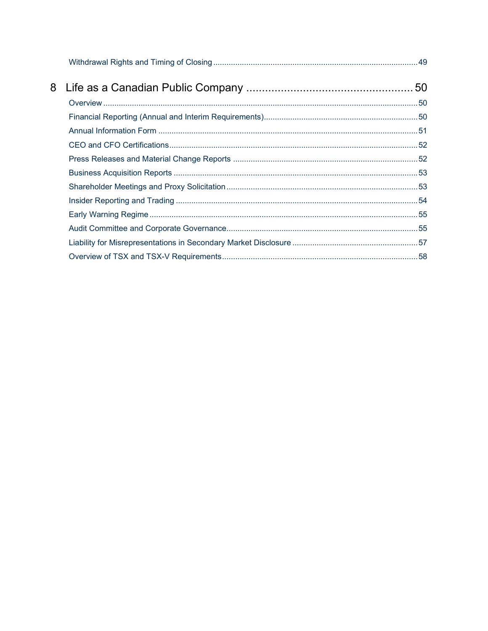| 8 |  |
|---|--|
|   |  |
|   |  |
|   |  |
|   |  |
|   |  |
|   |  |
|   |  |
|   |  |
|   |  |
|   |  |
|   |  |
|   |  |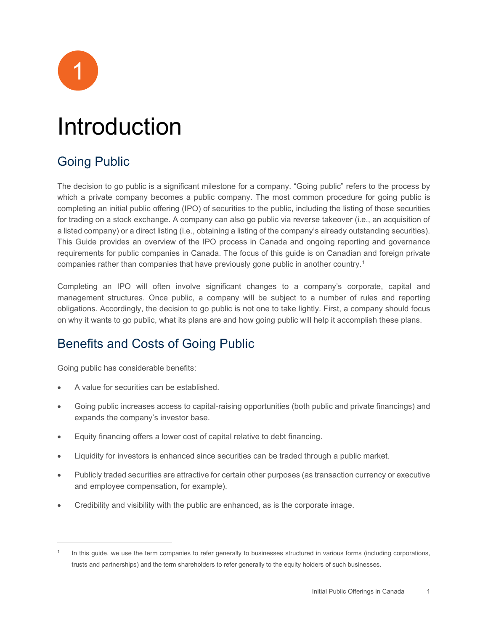

## <span id="page-6-0"></span>Introduction

## <span id="page-6-1"></span>Going Public

 This Guide provides an overview of the IPO process in Canada and ongoing reporting and governance The decision to go public is a significant milestone for a company. "Going public" refers to the process by which a private company becomes a public company. The most common procedure for going public is completing an initial public offering (IPO) of securities to the public, including the listing of those securities for trading on a stock exchange. A company can also go public via reverse takeover (i.e., an acquisition of a listed company) or a direct listing (i.e., obtaining a listing of the company's already outstanding securities). requirements for public companies in Canada. The focus of this guide is on Canadian and foreign private companies rather than companies that have previously gone public in another country.[1](#page-6-3)

Completing an IPO will often involve significant changes to a company's corporate, capital and management structures. Once public, a company will be subject to a number of rules and reporting obligations. Accordingly, the decision to go public is not one to take lightly. First, a company should focus on why it wants to go public, what its plans are and how going public will help it accomplish these plans.

## <span id="page-6-2"></span>Benefits and Costs of Going Public

Going public has considerable benefits:

- A value for securities can be established.
- Going public increases access to capital-raising opportunities (both public and private financings) and expands the company's investor base.
- Equity financing offers a lower cost of capital relative to debt financing.
- Liquidity for investors is enhanced since securities can be traded through a public market.
- Publicly traded securities are attractive for certain other purposes (as transaction currency or executive and employee compensation, for example).
- Credibility and visibility with the public are enhanced, as is the corporate image.

<span id="page-6-3"></span> In this guide, we use the term companies to refer generally to businesses structured in various forms (including corporations, trusts and partnerships) and the term shareholders to refer generally to the equity holders of such businesses. 1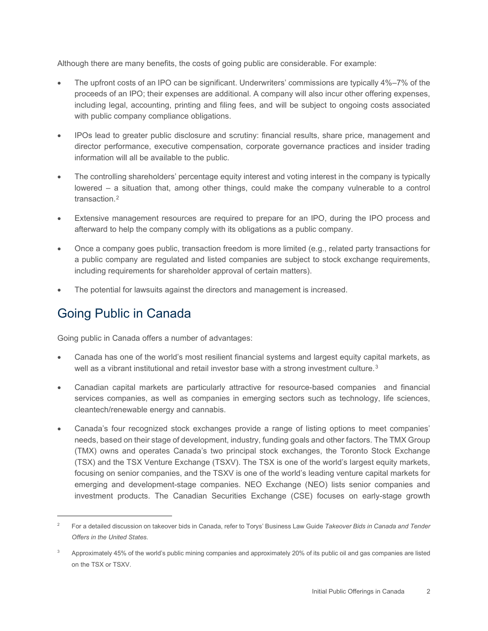Although there are many benefits, the costs of going public are considerable. For example:

- proceeds of an IPO; their expenses are additional. A company will also incur other offering expenses, including legal, accounting, printing and filing fees, and will be subject to ongoing costs associated The upfront costs of an IPO can be significant. Underwriters' commissions are typically 4%–7% of the with public company compliance obligations.
- • IPOs lead to greater public disclosure and scrutiny: financial results, share price, management and director performance, executive compensation, corporate governance practices and insider trading information will all be available to the public.
- The controlling shareholders' percentage equity interest and voting interest in the company is typically lowered – a situation that, among other things, could make the company vulnerable to a control transaction.<sup>[2](#page-7-1)</sup>
- • Extensive management resources are required to prepare for an IPO, during the IPO process and afterward to help the company comply with its obligations as a public company.
- a public company are regulated and listed companies are subject to stock exchange requirements, • Once a company goes public, transaction freedom is more limited (e.g., related party transactions for including requirements for shareholder approval of certain matters).
- The potential for lawsuits against the directors and management is increased.

## <span id="page-7-0"></span>Going Public in Canada

Going public in Canada offers a number of advantages:

- Canada has one of the world's most resilient financial systems and largest equity capital markets, as well as a vibrant institutional and retail investor base with a strong investment culture.<sup>3</sup>
- services companies, as well as companies in emerging sectors such as technology, life sciences,<br>cleantech/renewable energy and cannabis. • Canadian capital markets are particularly attractive for resource-based companies and financial
- focusing on senior companies, and the TSXV is one of the world's leading venture capital markets for • Canada's four recognized stock exchanges provide a range of listing options to meet companies' needs, based on their stage of development, industry, funding goals and other factors. The TMX Group (TMX) owns and operates Canada's two principal stock exchanges, the Toronto Stock Exchange (TSX) and the TSX Venture Exchange (TSXV). The TSX is one of the world's largest equity markets, emerging and development-stage companies. NEO Exchange (NEO) lists senior companies and investment products. The Canadian Securities Exchange (CSE) focuses on early-stage growth

<span id="page-7-1"></span><sup>2</sup> For a detailed discussion on takeover bids in Canada, refer to Torys' Business Law Guide *Takeover Bids in Canada and Tender Offers in the United States*.

<span id="page-7-2"></span> $3$  Approximately 45% of the world's public mining companies and approximately 20% of its public oil and gas companies are listed on the TSX or TSXV.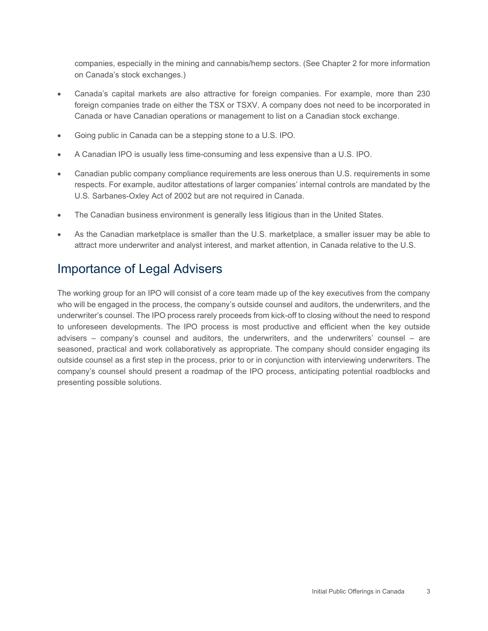companies, especially in the mining and cannabis/hemp sectors. (See Chapter 2 for more information on Canada's stock exchanges.)

- • Canada's capital markets are also attractive for foreign companies. For example, more than 230 foreign companies trade on either the TSX or TSXV. A company does not need to be incorporated in Canada or have Canadian operations or management to list on a Canadian stock exchange.
- Going public in Canada can be a stepping stone to a U.S. IPO.
- A Canadian IPO is usually less time-consuming and less expensive than a U.S. IPO.
- Canadian public company compliance requirements are less onerous than U.S. requirements in some respects. For example, auditor attestations of larger companies' internal controls are mandated by the U.S. Sarbanes-Oxley Act of 2002 but are not required in Canada.
- The Canadian business environment is generally less litigious than in the United States.
- • As the Canadian marketplace is smaller than the U.S. marketplace, a smaller issuer may be able to attract more underwriter and analyst interest, and market attention, in Canada relative to the U.S.

## <span id="page-8-0"></span>Importance of Legal Advisers

 seasoned, practical and work collaboratively as appropriate. The company should consider engaging its company's counsel should present a roadmap of the IPO process, anticipating potential roadblocks and The working group for an IPO will consist of a core team made up of the key executives from the company who will be engaged in the process, the company's outside counsel and auditors, the underwriters, and the underwriter's counsel. The IPO process rarely proceeds from kick-off to closing without the need to respond to unforeseen developments. The IPO process is most productive and efficient when the key outside advisers – company's counsel and auditors, the underwriters, and the underwriters' counsel – are outside counsel as a first step in the process, prior to or in conjunction with interviewing underwriters. The presenting possible solutions.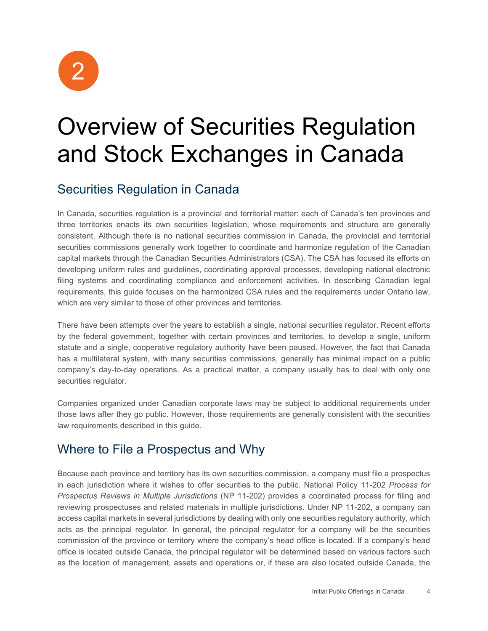2

## <span id="page-9-0"></span>Overview of Securities Regulation and Stock Exchanges in Canada

## <span id="page-9-1"></span>Securities Regulation in Canada

 In Canada, securities regulation is a provincial and territorial matter: each of Canada's ten provinces and three territories enacts its own securities legislation, whose requirements and structure are generally securities commissions generally work together to coordinate and harmonize regulation of the Canadian developing uniform rules and guidelines, coordinating approval processes, developing national electronic requirements, this guide focuses on the harmonized CSA rules and the requirements under Ontario law, which are very similar to those of other provinces and territories. consistent. Although there is no national securities commission in Canada, the provincial and territorial capital markets through the Canadian Securities Administrators (CSA). The CSA has focused its efforts on filing systems and coordinating compliance and enforcement activities. In describing Canadian legal

 There have been attempts over the years to establish a single, national securities regulator. Recent efforts statute and a single, cooperative regulatory authority have been paused. However, the fact that Canada by the federal government, together with certain provinces and territories, to develop a single, uniform has a multilateral system, with many securities commissions, generally has minimal impact on a public company's day-to-day operations. As a practical matter, a company usually has to deal with only one securities regulator.

 Companies organized under Canadian corporate laws may be subject to additional requirements under those laws after they go public. However, those requirements are generally consistent with the securities law requirements described in this guide.

## <span id="page-9-2"></span>Where to File a Prospectus and Why

 reviewing prospectuses and related materials in multiple jurisdictions. Under NP 11-202, a company can access capital markets in several jurisdictions by dealing with only one securities regulatory authority, which commission of the province or territory where the company's head office is located. If a company's head as the location of management, assets and operations or, if these are also located outside Canada, the Because each province and territory has its own securities commission, a company must file a prospectus in each jurisdiction where it wishes to offer securities to the public. National Policy 11-202 *Process for Prospectus Reviews in Multiple Jurisdictions* (NP 11-202) provides a coordinated process for filing and acts as the principal regulator. In general, the principal regulator for a company will be the securities office is located outside Canada, the principal regulator will be determined based on various factors such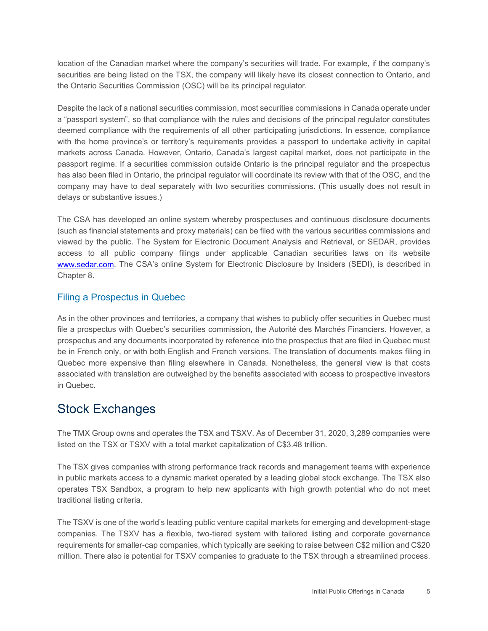location of the Canadian market where the company's securities will trade. For example, if the company's securities are being listed on the TSX, the company will likely have its closest connection to Ontario, and the Ontario Securities Commission (OSC) will be its principal regulator.

 deemed compliance with the requirements of all other participating jurisdictions. In essence, compliance with the home province's or territory's requirements provides a passport to undertake activity in capital markets across Canada. However, Ontario, Canada's largest capital market, does not participate in the passport regime. If a securities commission outside Ontario is the principal regulator and the prospectus company may have to deal separately with two securities commissions. (This usually does not result in Despite the lack of a national securities commission, most securities commissions in Canada operate under a "passport system", so that compliance with the rules and decisions of the principal regulator constitutes has also been filed in Ontario, the principal regulator will coordinate its review with that of the OSC, and the delays or substantive issues.)

 The CSA has developed an online system whereby prospectuses and continuous disclosure documents viewed by the public. The System for Electronic Document Analysis and Retrieval, or SEDAR, provides [www.sedar.com.](http://www.sedar.com/) The CSA's online System for Electronic Disclosure by Insiders (SEDI), is described in (such as financial statements and proxy materials) can be filed with the various securities commissions and access to all public company filings under applicable Canadian securities laws on its website Chapter 8.

#### Filing a Prospectus in Quebec

 file a prospectus with Quebec's securities commission, the Autorité des Marchés Financiers. However, a As in the other provinces and territories, a company that wishes to publicly offer securities in Quebec must prospectus and any documents incorporated by reference into the prospectus that are filed in Quebec must be in French only, or with both English and French versions. The translation of documents makes filing in Quebec more expensive than filing elsewhere in Canada. Nonetheless, the general view is that costs associated with translation are outweighed by the benefits associated with access to prospective investors in Quebec.

#### <span id="page-10-0"></span>Stock Exchanges

The TMX Group owns and operates the TSX and TSXV. As of December 31, 2020, 3,289 companies were listed on the TSX or TSXV with a total market capitalization of C\$3.48 trillion.

 operates TSX Sandbox, a program to help new applicants with high growth potential who do not meet The TSX gives companies with strong performance track records and management teams with experience in public markets access to a dynamic market operated by a leading global stock exchange. The TSX also traditional listing criteria.

The TSXV is one of the world's leading public venture capital markets for emerging and development-stage companies. The TSXV has a flexible, two-tiered system with tailored listing and corporate governance requirements for smaller-cap companies, which typically are seeking to raise between C\$2 million and C\$20 million. There also is potential for TSXV companies to graduate to the TSX through a streamlined process.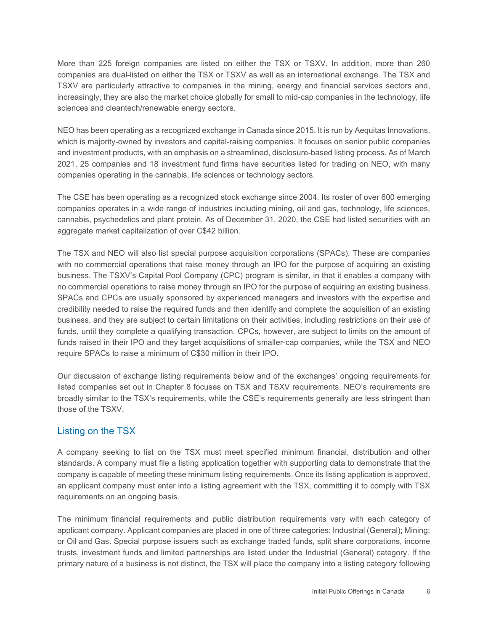companies are dual-listed on either the TSX or TSXV as well as an international exchange. The TSX and More than 225 foreign companies are listed on either the TSX or TSXV. In addition, more than 260 TSXV are particularly attractive to companies in the mining, energy and financial services sectors and, increasingly, they are also the market choice globally for small to mid-cap companies in the technology, life sciences and cleantech/renewable energy sectors.

 and investment products, with an emphasis on a streamlined, disclosure-based listing process. As of March 2021, 25 companies and 18 investment fund firms have securities listed for trading on NEO, with many NEO has been operating as a recognized exchange in Canada since 2015. It is run by Aequitas Innovations, which is majority-owned by investors and capital-raising companies. It focuses on senior public companies companies operating in the cannabis, life sciences or technology sectors.

The CSE has been operating as a recognized stock exchange since 2004. Its roster of over 600 emerging companies operates in a wide range of industries including mining, oil and gas, technology, life sciences, cannabis, psychedelics and plant protein. As of December 31, 2020, the CSE had listed securities with an aggregate market capitalization of over C\$42 billion.

 The TSX and NEO will also list special purpose acquisition corporations (SPACs). These are companies with no commercial operations that raise money through an IPO for the purpose of acquiring an existing SPACs and CPCs are usually sponsored by experienced managers and investors with the expertise and business, and they are subject to certain limitations on their activities, including restrictions on their use of funds raised in their IPO and they target acquisitions of smaller-cap companies, while the TSX and NEO business. The TSXV's Capital Pool Company (CPC) program is similar, in that it enables a company with no commercial operations to raise money through an IPO for the purpose of acquiring an existing business. credibility needed to raise the required funds and then identify and complete the acquisition of an existing funds, until they complete a qualifying transaction. CPCs, however, are subject to limits on the amount of require SPACs to raise a minimum of C\$30 million in their IPO.

 Our discussion of exchange listing requirements below and of the exchanges' ongoing requirements for listed companies set out in Chapter 8 focuses on TSX and TSXV requirements. NEO's requirements are broadly similar to the TSX's requirements, while the CSE's requirements generally are less stringent than those of the TSXV.

#### Listing on the TSX

A company seeking to list on the TSX must meet specified minimum financial, distribution and other standards. A company must file a listing application together with supporting data to demonstrate that the company is capable of meeting these minimum listing requirements. Once its listing application is approved, an applicant company must enter into a listing agreement with the TSX, committing it to comply with TSX requirements on an ongoing basis.

 applicant company. Applicant companies are placed in one of three categories: Industrial (General); Mining; or Oil and Gas. Special purpose issuers such as exchange traded funds, split share corporations, income trusts, investment funds and limited partnerships are listed under the Industrial (General) category. If the The minimum financial requirements and public distribution requirements vary with each category of primary nature of a business is not distinct, the TSX will place the company into a listing category following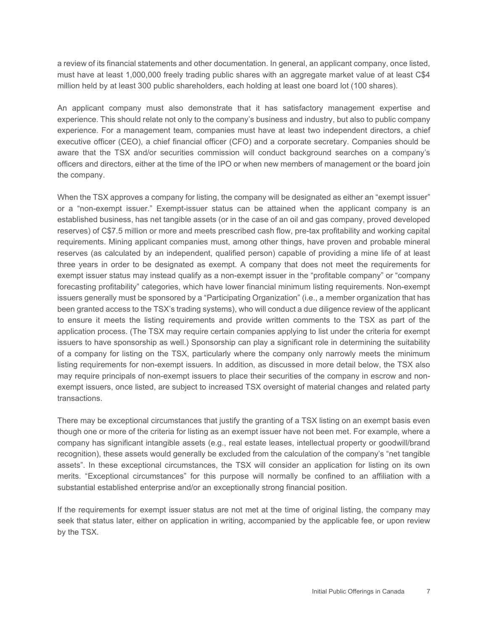must have at least 1,000,000 freely trading public shares with an aggregate market value of at least C\$4 million held by at least 300 public shareholders, each holding at least one board lot (100 shares). a review of its financial statements and other documentation. In general, an applicant company, once listed,

 An applicant company must also demonstrate that it has satisfactory management expertise and experience. For a management team, companies must have at least two independent directors, a chief executive officer (CEO), a chief financial officer (CFO) and a corporate secretary. Companies should be experience. This should relate not only to the company's business and industry, but also to public company aware that the TSX and/or securities commission will conduct background searches on a company's officers and directors, either at the time of the IPO or when new members of management or the board join the company.

 When the TSX approves a company for listing, the company will be designated as either an "exempt issuer" or a "non-exempt issuer." Exempt-issuer status can be attained when the applicant company is an established business, has net tangible assets (or in the case of an oil and gas company, proved developed requirements. Mining applicant companies must, among other things, have proven and probable mineral reserves (as calculated by an independent, qualified person) capable of providing a mine life of at least three years in order to be designated as exempt. A company that does not meet the requirements for issuers generally must be sponsored by a "Participating Organization" (i.e., a member organization that has of a company for listing on the TSX, particularly where the company only narrowly meets the minimum listing requirements for non-exempt issuers. In addition, as discussed in more detail below, the TSX also reserves) of C\$7.5 million or more and meets prescribed cash flow, pre-tax profitability and working capital exempt issuer status may instead qualify as a non-exempt issuer in the "profitable company" or "company forecasting profitability" categories, which have lower financial minimum listing requirements. Non-exempt been granted access to the TSX's trading systems), who will conduct a due diligence review of the applicant to ensure it meets the listing requirements and provide written comments to the TSX as part of the application process. (The TSX may require certain companies applying to list under the criteria for exempt issuers to have sponsorship as well.) Sponsorship can play a significant role in determining the suitability may require principals of non-exempt issuers to place their securities of the company in escrow and nonexempt issuers, once listed, are subject to increased TSX oversight of material changes and related party transactions.

 There may be exceptional circumstances that justify the granting of a TSX listing on an exempt basis even company has significant intangible assets (e.g., real estate leases, intellectual property or goodwill/brand assets". In these exceptional circumstances, the TSX will consider an application for listing on its own merits. "Exceptional circumstances" for this purpose will normally be confined to an affiliation with a though one or more of the criteria for listing as an exempt issuer have not been met. For example, where a recognition), these assets would generally be excluded from the calculation of the company's "net tangible substantial established enterprise and/or an exceptionally strong financial position.

 If the requirements for exempt issuer status are not met at the time of original listing, the company may seek that status later, either on application in writing, accompanied by the applicable fee, or upon review by the TSX.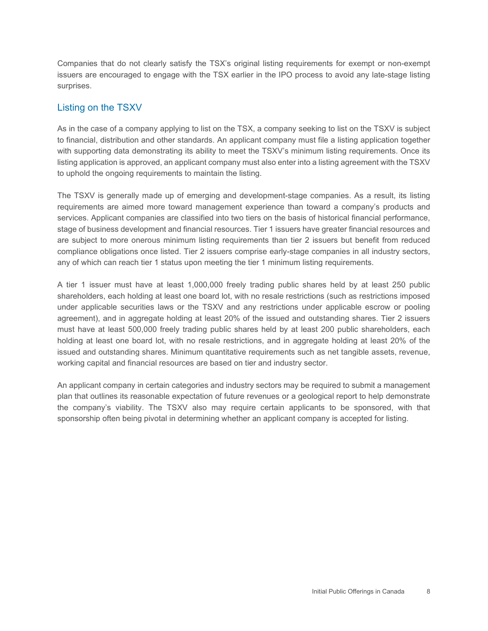Companies that do not clearly satisfy the TSX's original listing requirements for exempt or non-exempt issuers are encouraged to engage with the TSX earlier in the IPO process to avoid any late-stage listing surprises.

#### Listing on the TSXV

 with supporting data demonstrating its ability to meet the TSXV's minimum listing requirements. Once its listing application is approved, an applicant company must also enter into a listing agreement with the TSXV As in the case of a company applying to list on the TSX, a company seeking to list on the TSXV is subject to financial, distribution and other standards. An applicant company must file a listing application together to uphold the ongoing requirements to maintain the listing.

 The TSXV is generally made up of emerging and development-stage companies. As a result, its listing compliance obligations once listed. Tier 2 issuers comprise early-stage companies in all industry sectors, requirements are aimed more toward management experience than toward a company's products and services. Applicant companies are classified into two tiers on the basis of historical financial performance, stage of business development and financial resources. Tier 1 issuers have greater financial resources and are subject to more onerous minimum listing requirements than tier 2 issuers but benefit from reduced any of which can reach tier 1 status upon meeting the tier 1 minimum listing requirements.

 A tier 1 issuer must have at least 1,000,000 freely trading public shares held by at least 250 public agreement), and in aggregate holding at least 20% of the issued and outstanding shares. Tier 2 issuers must have at least 500,000 freely trading public shares held by at least 200 public shareholders, each holding at least one board lot, with no resale restrictions, and in aggregate holding at least 20% of the shareholders, each holding at least one board lot, with no resale restrictions (such as restrictions imposed under applicable securities laws or the TSXV and any restrictions under applicable escrow or pooling issued and outstanding shares. Minimum quantitative requirements such as net tangible assets, revenue, working capital and financial resources are based on tier and industry sector.

 the company's viability. The TSXV also may require certain applicants to be sponsored, with that An applicant company in certain categories and industry sectors may be required to submit a management plan that outlines its reasonable expectation of future revenues or a geological report to help demonstrate sponsorship often being pivotal in determining whether an applicant company is accepted for listing.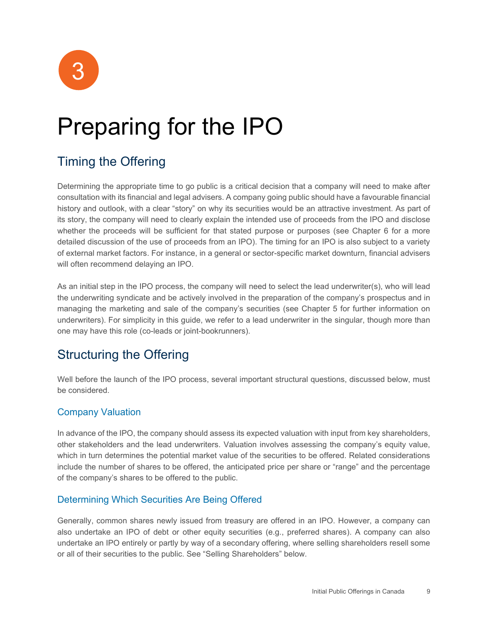

## <span id="page-14-0"></span>Preparing for the IPO

## <span id="page-14-1"></span>Timing the Offering

 history and outlook, with a clear "story" on why its securities would be an attractive investment. As part of whether the proceeds will be sufficient for that stated purpose or purposes (see Chapter 6 for a more Determining the appropriate time to go public is a critical decision that a company will need to make after consultation with its financial and legal advisers. A company going public should have a favourable financial its story, the company will need to clearly explain the intended use of proceeds from the IPO and disclose detailed discussion of the use of proceeds from an IPO). The timing for an IPO is also subject to a variety of external market factors. For instance, in a general or sector-specific market downturn, financial advisers will often recommend delaying an IPO.

 the underwriting syndicate and be actively involved in the preparation of the company's prospectus and in As an initial step in the IPO process, the company will need to select the lead underwriter(s), who will lead managing the marketing and sale of the company's securities (see Chapter 5 for further information on underwriters). For simplicity in this guide, we refer to a lead underwriter in the singular, though more than one may have this role (co-leads or joint-bookrunners).

## <span id="page-14-2"></span>Structuring the Offering

Well before the launch of the IPO process, several important structural questions, discussed below, must be considered.

#### Company Valuation

 other stakeholders and the lead underwriters. Valuation involves assessing the company's equity value, In advance of the IPO, the company should assess its expected valuation with input from key shareholders, which in turn determines the potential market value of the securities to be offered. Related considerations include the number of shares to be offered, the anticipated price per share or "range" and the percentage of the company's shares to be offered to the public.

#### Determining Which Securities Are Being Offered

 Generally, common shares newly issued from treasury are offered in an IPO. However, a company can also undertake an IPO of debt or other equity securities (e.g., preferred shares). A company can also undertake an IPO entirely or partly by way of a secondary offering, where selling shareholders resell some or all of their securities to the public. See "Selling Shareholders" below.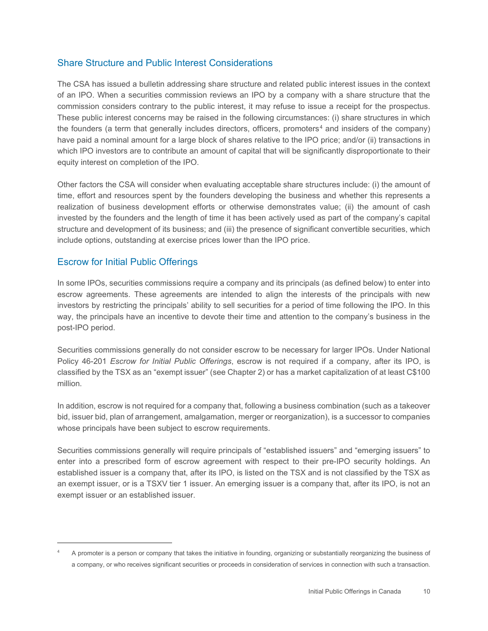#### Share Structure and Public Interest Considerations

 of an IPO. When a securities commission reviews an IPO by a company with a share structure that the commission considers contrary to the public interest, it may refuse to issue a receipt for the prospectus. the founders (a term that generally includes directors, officers, promoters<sup>4</sup> and insiders of the company) The CSA has issued a bulletin addressing share structure and related public interest issues in the context These public interest concerns may be raised in the following circumstances: (i) share structures in which have paid a nominal amount for a large block of shares relative to the IPO price; and/or (ii) transactions in which IPO investors are to contribute an amount of capital that will be significantly disproportionate to their equity interest on completion of the IPO.

 time, effort and resources spent by the founders developing the business and whether this represents a invested by the founders and the length of time it has been actively used as part of the company's capital Other factors the CSA will consider when evaluating acceptable share structures include: (i) the amount of realization of business development efforts or otherwise demonstrates value; (ii) the amount of cash structure and development of its business; and (iii) the presence of significant convertible securities, which include options, outstanding at exercise prices lower than the IPO price.

#### Escrow for Initial Public Offerings

 way, the principals have an incentive to devote their time and attention to the company's business in the In some IPOs, securities commissions require a company and its principals (as defined below) to enter into escrow agreements. These agreements are intended to align the interests of the principals with new investors by restricting the principals' ability to sell securities for a period of time following the IPO. In this post-IPO period.

Securities commissions generally do not consider escrow to be necessary for larger IPOs. Under National Policy 46-201 *Escrow for Initial Public Offerings*, escrow is not required if a company, after its IPO, is classified by the TSX as an "exempt issuer" (see Chapter 2) or has a market capitalization of at least C\$100 million.

In addition, escrow is not required for a company that, following a business combination (such as a takeover bid, issuer bid, plan of arrangement, amalgamation, merger or reorganization), is a successor to companies whose principals have been subject to escrow requirements.

 enter into a prescribed form of escrow agreement with respect to their pre-IPO security holdings. An established issuer is a company that, after its IPO, is listed on the TSX and is not classified by the TSX as an exempt issuer, or is a TSXV tier 1 issuer. An emerging issuer is a company that, after its IPO, is not an exempt issuer or an established issuer. Securities commissions generally will require principals of "established issuers" and "emerging issuers" to

<span id="page-15-0"></span> A promoter is a person or company that takes the initiative in founding, organizing or substantially reorganizing the business of a company, or who receives significant securities or proceeds in consideration of services in connection with such a transaction. 4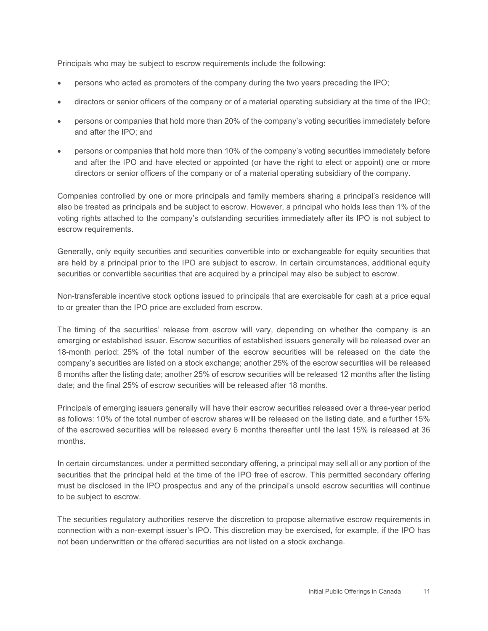Principals who may be subject to escrow requirements include the following:

- persons who acted as promoters of the company during the two years preceding the IPO;
- directors or senior officers of the company or of a material operating subsidiary at the time of the IPO;
- persons or companies that hold more than 20% of the company's voting securities immediately before and after the IPO; and
- and after the IPO and have elected or appointed (or have the right to elect or appoint) one or more • persons or companies that hold more than 10% of the company's voting securities immediately before directors or senior officers of the company or of a material operating subsidiary of the company.

 Companies controlled by one or more principals and family members sharing a principal's residence will also be treated as principals and be subject to escrow. However, a principal who holds less than 1% of the voting rights attached to the company's outstanding securities immediately after its IPO is not subject to escrow requirements.

 Generally, only equity securities and securities convertible into or exchangeable for equity securities that are held by a principal prior to the IPO are subject to escrow. In certain circumstances, additional equity securities or convertible securities that are acquired by a principal may also be subject to escrow.

Non-transferable incentive stock options issued to principals that are exercisable for cash at a price equal to or greater than the IPO price are excluded from escrow.

 18-month period: 25% of the total number of the escrow securities will be released on the date the The timing of the securities' release from escrow will vary, depending on whether the company is an emerging or established issuer. Escrow securities of established issuers generally will be released over an company's securities are listed on a stock exchange; another 25% of the escrow securities will be released 6 months after the listing date; another 25% of escrow securities will be released 12 months after the listing date; and the final 25% of escrow securities will be released after 18 months.

 Principals of emerging issuers generally will have their escrow securities released over a three-year period as follows: 10% of the total number of escrow shares will be released on the listing date, and a further 15% of the escrowed securities will be released every 6 months thereafter until the last 15% is released at 36 months.

 In certain circumstances, under a permitted secondary offering, a principal may sell all or any portion of the securities that the principal held at the time of the IPO free of escrow. This permitted secondary offering must be disclosed in the IPO prospectus and any of the principal's unsold escrow securities will continue to be subject to escrow.

 The securities regulatory authorities reserve the discretion to propose alternative escrow requirements in not been underwritten or the offered securities are not listed on a stock exchange. connection with a non-exempt issuer's IPO. This discretion may be exercised, for example, if the IPO has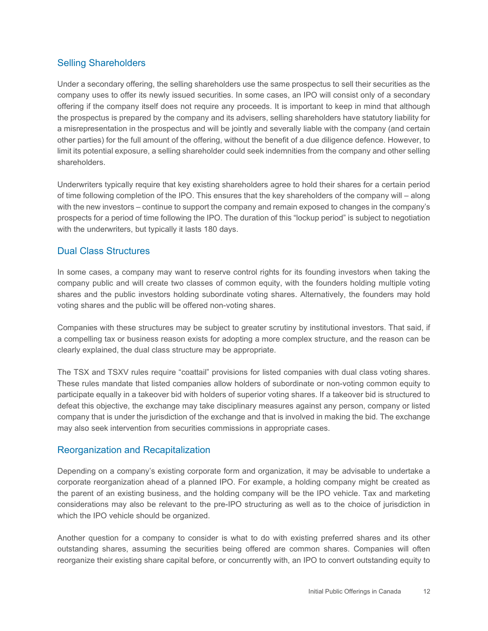#### Selling Shareholders

 company uses to offer its newly issued securities. In some cases, an IPO will consist only of a secondary offering if the company itself does not require any proceeds. It is important to keep in mind that although a misrepresentation in the prospectus and will be jointly and severally liable with the company (and certain Under a secondary offering, the selling shareholders use the same prospectus to sell their securities as the the prospectus is prepared by the company and its advisers, selling shareholders have statutory liability for other parties) for the full amount of the offering, without the benefit of a due diligence defence. However, to limit its potential exposure, a selling shareholder could seek indemnities from the company and other selling shareholders.

 with the new investors – continue to support the company and remain exposed to changes in the company's Underwriters typically require that key existing shareholders agree to hold their shares for a certain period of time following completion of the IPO. This ensures that the key shareholders of the company will – along prospects for a period of time following the IPO. The duration of this "lockup period" is subject to negotiation with the underwriters, but typically it lasts 180 days.

#### Dual Class Structures

 In some cases, a company may want to reserve control rights for its founding investors when taking the company public and will create two classes of common equity, with the founders holding multiple voting shares and the public investors holding subordinate voting shares. Alternatively, the founders may hold voting shares and the public will be offered non-voting shares.

Companies with these structures may be subject to greater scrutiny by institutional investors. That said, if a compelling tax or business reason exists for adopting a more complex structure, and the reason can be clearly explained, the dual class structure may be appropriate.

 The TSX and TSXV rules require "coattail" provisions for listed companies with dual class voting shares. These rules mandate that listed companies allow holders of subordinate or non-voting common equity to defeat this objective, the exchange may take disciplinary measures against any person, company or listed participate equally in a takeover bid with holders of superior voting shares. If a takeover bid is structured to company that is under the jurisdiction of the exchange and that is involved in making the bid. The exchange may also seek intervention from securities commissions in appropriate cases.

#### Reorganization and Recapitalization

 Depending on a company's existing corporate form and organization, it may be advisable to undertake a corporate reorganization ahead of a planned IPO. For example, a holding company might be created as the parent of an existing business, and the holding company will be the IPO vehicle. Tax and marketing considerations may also be relevant to the pre-IPO structuring as well as to the choice of jurisdiction in which the IPO vehicle should be organized.

 reorganize their existing share capital before, or concurrently with, an IPO to convert outstanding equity to Another question for a company to consider is what to do with existing preferred shares and its other outstanding shares, assuming the securities being offered are common shares. Companies will often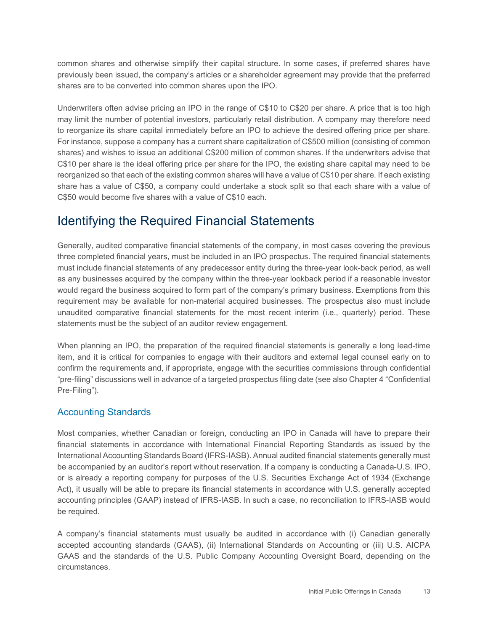previously been issued, the company's articles or a shareholder agreement may provide that the preferred common shares and otherwise simplify their capital structure. In some cases, if preferred shares have shares are to be converted into common shares upon the IPO.

 may limit the number of potential investors, particularly retail distribution. A company may therefore need to reorganize its share capital immediately before an IPO to achieve the desired offering price per share. reorganized so that each of the existing common shares will have a value of C\$10 per share. If each existing share has a value of C\$50, a company could undertake a stock split so that each share with a value of Underwriters often advise pricing an IPO in the range of C\$10 to C\$20 per share. A price that is too high For instance, suppose a company has a current share capitalization of C\$500 million (consisting of common shares) and wishes to issue an additional C\$200 million of common shares. If the underwriters advise that C\$10 per share is the ideal offering price per share for the IPO, the existing share capital may need to be C\$50 would become five shares with a value of C\$10 each.

#### <span id="page-18-0"></span>Identifying the Required Financial Statements

Generally, audited comparative financial statements of the company, in most cases covering the previous three completed financial years, must be included in an IPO prospectus. The required financial statements must include financial statements of any predecessor entity during the three-year look-back period, as well as any businesses acquired by the company within the three-year lookback period if a reasonable investor would regard the business acquired to form part of the company's primary business. Exemptions from this requirement may be available for non-material acquired businesses. The prospectus also must include unaudited comparative financial statements for the most recent interim (i.e., quarterly) period. These statements must be the subject of an auditor review engagement.

 When planning an IPO, the preparation of the required financial statements is generally a long lead-time item, and it is critical for companies to engage with their auditors and external legal counsel early on to confirm the requirements and, if appropriate, engage with the securities commissions through confidential "pre-filing" discussions well in advance of a targeted prospectus filing date (see also Chapter 4 "Confidential Pre-Filing").

#### Accounting Standards

 International Accounting Standards Board (IFRS-IASB). Annual audited financial statements generally must or is already a reporting company for purposes of the U.S. Securities Exchange Act of 1934 (Exchange Most companies, whether Canadian or foreign, conducting an IPO in Canada will have to prepare their financial statements in accordance with International Financial Reporting Standards as issued by the be accompanied by an auditor's report without reservation. If a company is conducting a Canada-U.S. IPO, Act), it usually will be able to prepare its financial statements in accordance with U.S. generally accepted accounting principles (GAAP) instead of IFRS-IASB. In such a case, no reconciliation to IFRS-IASB would be required.

 accepted accounting standards (GAAS), (ii) International Standards on Accounting or (iii) U.S. AICPA A company's financial statements must usually be audited in accordance with (i) Canadian generally GAAS and the standards of the U.S. Public Company Accounting Oversight Board, depending on the circumstances.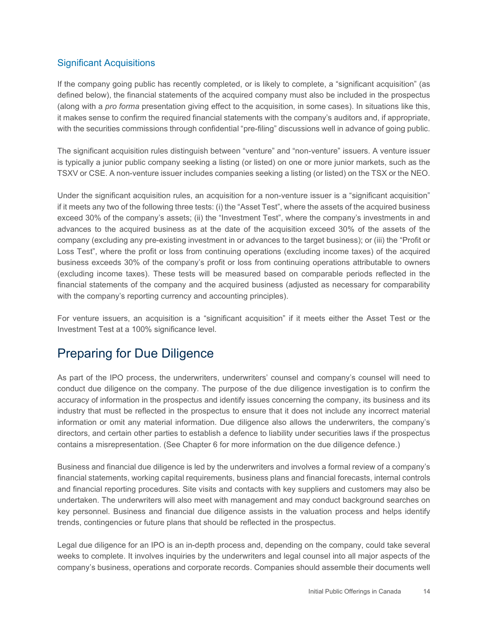#### Significant Acquisitions

 it makes sense to confirm the required financial statements with the company's auditors and, if appropriate, with the securities commissions through confidential "pre-filing" discussions well in advance of going public. If the company going public has recently completed, or is likely to complete, a "significant acquisition" (as defined below), the financial statements of the acquired company must also be included in the prospectus (along with a *pro forma* presentation giving effect to the acquisition, in some cases). In situations like this,

 TSXV or CSE. A non-venture issuer includes companies seeking a listing (or listed) on the TSX or the NEO. The significant acquisition rules distinguish between "venture" and "non-venture" issuers. A venture issuer is typically a junior public company seeking a listing (or listed) on one or more junior markets, such as the

 if it meets any two of the following three tests: (i) the "Asset Test", where the assets of the acquired business company (excluding any pre-existing investment in or advances to the target business); or (iii) the "Profit or Loss Test", where the profit or loss from continuing operations (excluding income taxes) of the acquired business exceeds 30% of the company's profit or loss from continuing operations attributable to owners financial statements of the company and the acquired business (adjusted as necessary for comparability Under the significant acquisition rules, an acquisition for a non-venture issuer is a "significant acquisition" exceed 30% of the company's assets; (ii) the "Investment Test", where the company's investments in and advances to the acquired business as at the date of the acquisition exceed 30% of the assets of the (excluding income taxes). These tests will be measured based on comparable periods reflected in the with the company's reporting currency and accounting principles).

For venture issuers, an acquisition is a "significant acquisition" if it meets either the Asset Test or the Investment Test at a 100% significance level.

## <span id="page-19-0"></span>Preparing for Due Diligence

 As part of the IPO process, the underwriters, underwriters' counsel and company's counsel will need to conduct due diligence on the company. The purpose of the due diligence investigation is to confirm the accuracy of information in the prospectus and identify issues concerning the company, its business and its industry that must be reflected in the prospectus to ensure that it does not include any incorrect material information or omit any material information. Due diligence also allows the underwriters, the company's directors, and certain other parties to establish a defence to liability under securities laws if the prospectus contains a misrepresentation. (See Chapter 6 for more information on the due diligence defence.)

 Business and financial due diligence is led by the underwriters and involves a formal review of a company's financial statements, working capital requirements, business plans and financial forecasts, internal controls and financial reporting procedures. Site visits and contacts with key suppliers and customers may also be undertaken. The underwriters will also meet with management and may conduct background searches on key personnel. Business and financial due diligence assists in the valuation process and helps identify trends, contingencies or future plans that should be reflected in the prospectus.

 weeks to complete. It involves inquiries by the underwriters and legal counsel into all major aspects of the Legal due diligence for an IPO is an in-depth process and, depending on the company, could take several company's business, operations and corporate records. Companies should assemble their documents well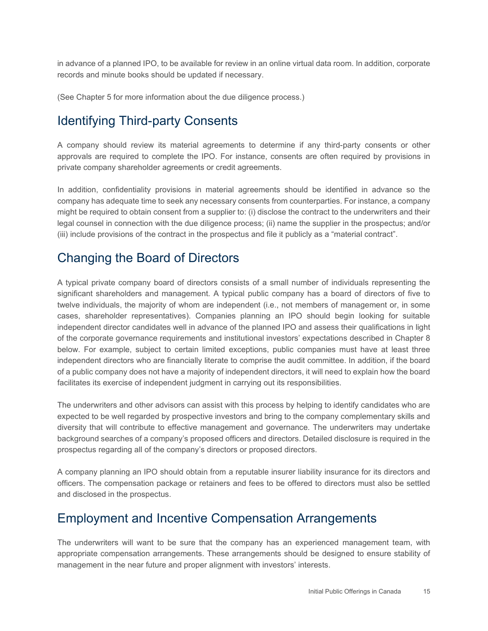in advance of a planned IPO, to be available for review in an online virtual data room. In addition, corporate records and minute books should be updated if necessary.

(See Chapter 5 for more information about the due diligence process.)

## <span id="page-20-0"></span>Identifying Third-party Consents

A company should review its material agreements to determine if any third-party consents or other approvals are required to complete the IPO. For instance, consents are often required by provisions in private company shareholder agreements or credit agreements.

In addition, confidentiality provisions in material agreements should be identified in advance so the company has adequate time to seek any necessary consents from counterparties. For instance, a company might be required to obtain consent from a supplier to: (i) disclose the contract to the underwriters and their legal counsel in connection with the due diligence process; (ii) name the supplier in the prospectus; and/or (iii) include provisions of the contract in the prospectus and file it publicly as a "material contract".

#### <span id="page-20-1"></span>Changing the Board of Directors

 A typical private company board of directors consists of a small number of individuals representing the significant shareholders and management. A typical public company has a board of directors of five to twelve individuals, the majority of whom are independent (i.e., not members of management or, in some cases, shareholder representatives). Companies planning an IPO should begin looking for suitable independent director candidates well in advance of the planned IPO and assess their qualifications in light of the corporate governance requirements and institutional investors' expectations described in Chapter 8 below. For example, subject to certain limited exceptions, public companies must have at least three independent directors who are financially literate to comprise the audit committee. In addition, if the board of a public company does not have a majority of independent directors, it will need to explain how the board facilitates its exercise of independent judgment in carrying out its responsibilities.

 diversity that will contribute to effective management and governance. The underwriters may undertake The underwriters and other advisors can assist with this process by helping to identify candidates who are expected to be well regarded by prospective investors and bring to the company complementary skills and background searches of a company's proposed officers and directors. Detailed disclosure is required in the prospectus regarding all of the company's directors or proposed directors.

 officers. The compensation package or retainers and fees to be offered to directors must also be settled A company planning an IPO should obtain from a reputable insurer liability insurance for its directors and and disclosed in the prospectus.

#### <span id="page-20-2"></span>Employment and Incentive Compensation Arrangements

 appropriate compensation arrangements. These arrangements should be designed to ensure stability of The underwriters will want to be sure that the company has an experienced management team, with management in the near future and proper alignment with investors' interests.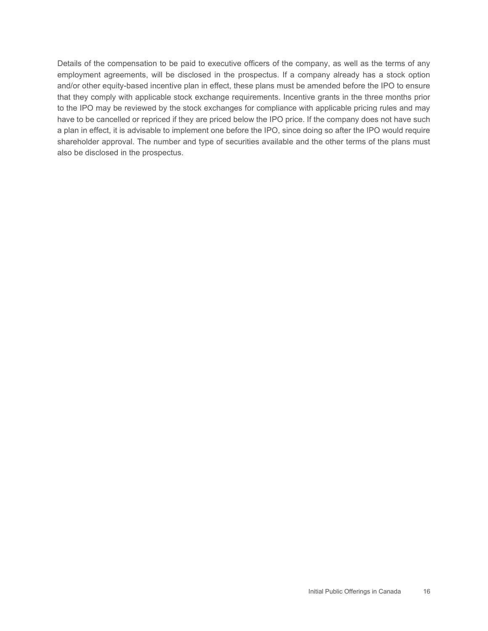Details of the compensation to be paid to executive officers of the company, as well as the terms of any and/or other equity-based incentive plan in effect, these plans must be amended before the IPO to ensure that they comply with applicable stock exchange requirements. Incentive grants in the three months prior have to be cancelled or repriced if they are priced below the IPO price. If the company does not have such shareholder approval. The number and type of securities available and the other terms of the plans must employment agreements, will be disclosed in the prospectus. If a company already has a stock option to the IPO may be reviewed by the stock exchanges for compliance with applicable pricing rules and may a plan in effect, it is advisable to implement one before the IPO, since doing so after the IPO would require also be disclosed in the prospectus.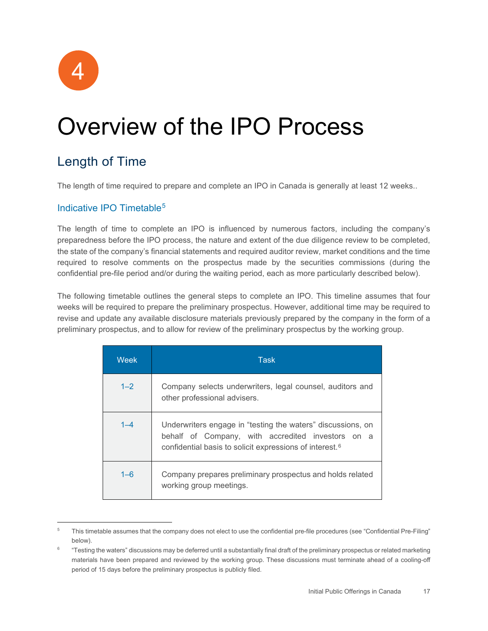

## <span id="page-22-0"></span>Overview of the IPO Process

## <span id="page-22-1"></span>Length of Time

The length of time required to prepare and complete an IPO in Canada is generally at least 12 weeks..

#### Indicative IPO Timetable[5](#page-22-2)

 required to resolve comments on the prospectus made by the securities commissions (during the The length of time to complete an IPO is influenced by numerous factors, including the company's preparedness before the IPO process, the nature and extent of the due diligence review to be completed, the state of the company's financial statements and required auditor review, market conditions and the time confidential pre-file period and/or during the waiting period, each as more particularly described below).

 The following timetable outlines the general steps to complete an IPO. This timeline assumes that four weeks will be required to prepare the preliminary prospectus. However, additional time may be required to revise and update any available disclosure materials previously prepared by the company in the form of a preliminary prospectus, and to allow for review of the preliminary prospectus by the working group.

| Week    | <b>Task</b>                                                                                                                                                                             |
|---------|-----------------------------------------------------------------------------------------------------------------------------------------------------------------------------------------|
| $1 - 2$ | Company selects underwriters, legal counsel, auditors and<br>other professional advisers.                                                                                               |
| $1 - 4$ | Underwriters engage in "testing the waters" discussions, on<br>behalf of Company, with accredited investors on a<br>confidential basis to solicit expressions of interest. <sup>6</sup> |
| $1 - 6$ | Company prepares preliminary prospectus and holds related<br>working group meetings.                                                                                                    |

<span id="page-22-2"></span><sup>&</sup>lt;sup>5</sup> This timetable assumes that the company does not elect to use the confidential pre-file procedures (see "Confidential Pre-Filing" below).

<span id="page-22-3"></span><sup>6 &</sup>quot;Testing the waters" discussions may be deferred until a substantially final draft of the preliminary prospectus or related marketing materials have been prepared and reviewed by the working group. These discussions must terminate ahead of a cooling-off period of 15 days before the preliminary prospectus is publicly filed.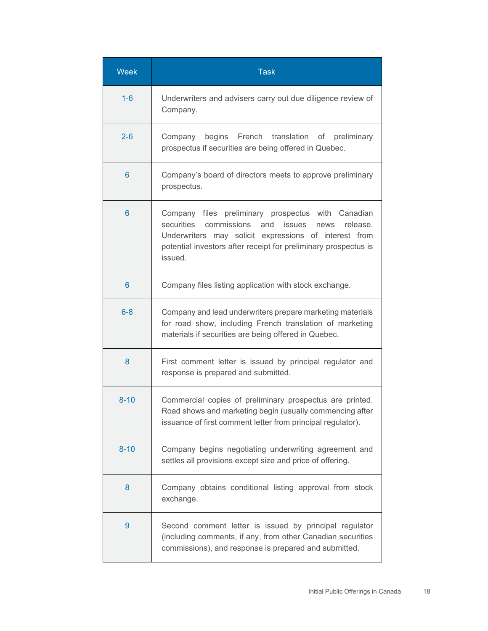| <b>Week</b> | <b>Task</b>                                                                                                                                                                                                                                              |
|-------------|----------------------------------------------------------------------------------------------------------------------------------------------------------------------------------------------------------------------------------------------------------|
| $1-6$       | Underwriters and advisers carry out due diligence review of<br>Company.                                                                                                                                                                                  |
| $2 - 6$     | Company begins French translation of preliminary<br>prospectus if securities are being offered in Quebec.                                                                                                                                                |
| 6           | Company's board of directors meets to approve preliminary<br>prospectus.                                                                                                                                                                                 |
| 6           | Company files preliminary prospectus with Canadian<br>securities<br>commissions and<br>issues<br>release.<br>news<br>Underwriters may solicit expressions of interest from<br>potential investors after receipt for preliminary prospectus is<br>issued. |
| 6           | Company files listing application with stock exchange.                                                                                                                                                                                                   |
| $6 - 8$     | Company and lead underwriters prepare marketing materials<br>for road show, including French translation of marketing<br>materials if securities are being offered in Quebec.                                                                            |
| 8           | First comment letter is issued by principal regulator and<br>response is prepared and submitted.                                                                                                                                                         |
| $8 - 10$    | Commercial copies of preliminary prospectus are printed.<br>Road shows and marketing begin (usually commencing after<br>issuance of first comment letter from principal regulator).                                                                      |
| $8 - 10$    | Company begins negotiating underwriting agreement and<br>settles all provisions except size and price of offering.                                                                                                                                       |
| 8           | Company obtains conditional listing approval from stock<br>exchange.                                                                                                                                                                                     |
| 9           | Second comment letter is issued by principal regulator<br>(including comments, if any, from other Canadian securities<br>commissions), and response is prepared and submitted.                                                                           |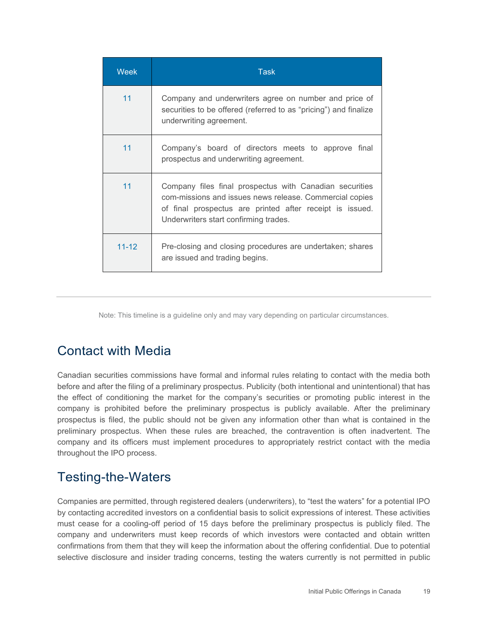| <b>Week</b> | <b>Task</b>                                                                                                                                                                                                             |
|-------------|-------------------------------------------------------------------------------------------------------------------------------------------------------------------------------------------------------------------------|
| 11          | Company and underwriters agree on number and price of<br>securities to be offered (referred to as "pricing") and finalize<br>underwriting agreement.                                                                    |
| 11          | Company's board of directors meets to approve final<br>prospectus and underwriting agreement.                                                                                                                           |
| 11          | Company files final prospectus with Canadian securities<br>com-missions and issues news release. Commercial copies<br>of final prospectus are printed after receipt is issued.<br>Underwriters start confirming trades. |
| $11 - 12$   | Pre-closing and closing procedures are undertaken; shares<br>are issued and trading begins.                                                                                                                             |

Note: This timeline is a guideline only and may vary depending on particular circumstances.

#### <span id="page-24-0"></span>Contact with Media

 Canadian securities commissions have formal and informal rules relating to contact with the media both the effect of conditioning the market for the company's securities or promoting public interest in the company is prohibited before the preliminary prospectus is publicly available. After the preliminary before and after the filing of a preliminary prospectus. Publicity (both intentional and unintentional) that has prospectus is filed, the public should not be given any information other than what is contained in the preliminary prospectus. When these rules are breached, the contravention is often inadvertent. The company and its officers must implement procedures to appropriately restrict contact with the media throughout the IPO process.

## <span id="page-24-1"></span>Testing-the-Waters

Companies are permitted, through registered dealers (underwriters), to "test the waters" for a potential IPO by contacting accredited investors on a confidential basis to solicit expressions of interest. These activities must cease for a cooling-off period of 15 days before the preliminary prospectus is publicly filed. The company and underwriters must keep records of which investors were contacted and obtain written confirmations from them that they will keep the information about the offering confidential. Due to potential selective disclosure and insider trading concerns, testing the waters currently is not permitted in public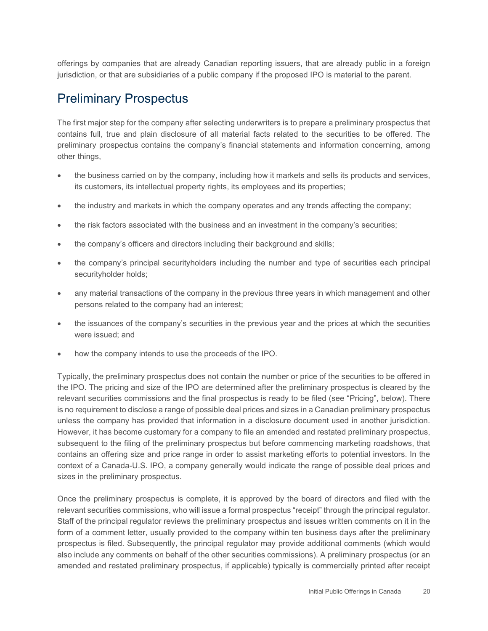offerings by companies that are already Canadian reporting issuers, that are already public in a foreign jurisdiction, or that are subsidiaries of a public company if the proposed IPO is material to the parent.

#### <span id="page-25-0"></span>Preliminary Prospectus

 preliminary prospectus contains the company's financial statements and information concerning, among The first major step for the company after selecting underwriters is to prepare a preliminary prospectus that contains full, true and plain disclosure of all material facts related to the securities to be offered. The other things,

- the business carried on by the company, including how it markets and sells its products and services, its customers, its intellectual property rights, its employees and its properties;
- the industry and markets in which the company operates and any trends affecting the company;
- the risk factors associated with the business and an investment in the company's securities;
- the company's officers and directors including their background and skills;
- the company's principal securityholders including the number and type of securities each principal securityholder holds;
- any material transactions of the company in the previous three years in which management and other persons related to the company had an interest;
- the issuances of the company's securities in the previous year and the prices at which the securities were issued; and
- how the company intends to use the proceeds of the IPO.

 the IPO. The pricing and size of the IPO are determined after the preliminary prospectus is cleared by the unless the company has provided that information in a disclosure document used in another jurisdiction. subsequent to the filing of the preliminary prospectus but before commencing marketing roadshows, that contains an offering size and price range in order to assist marketing efforts to potential investors. In the Typically, the preliminary prospectus does not contain the number or price of the securities to be offered in relevant securities commissions and the final prospectus is ready to be filed (see "Pricing", below). There is no requirement to disclose a range of possible deal prices and sizes in a Canadian preliminary prospectus However, it has become customary for a company to file an amended and restated preliminary prospectus, context of a Canada-U.S. IPO, a company generally would indicate the range of possible deal prices and sizes in the preliminary prospectus.

 Once the preliminary prospectus is complete, it is approved by the board of directors and filed with the form of a comment letter, usually provided to the company within ten business days after the preliminary prospectus is filed. Subsequently, the principal regulator may provide additional comments (which would also include any comments on behalf of the other securities commissions). A preliminary prospectus (or an relevant securities commissions, who will issue a formal prospectus "receipt" through the principal regulator. Staff of the principal regulator reviews the preliminary prospectus and issues written comments on it in the amended and restated preliminary prospectus, if applicable) typically is commercially printed after receipt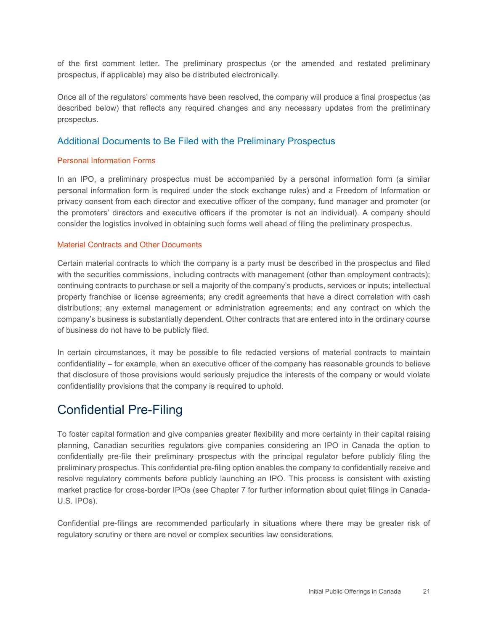of the first comment letter. The preliminary prospectus (or the amended and restated preliminary prospectus, if applicable) may also be distributed electronically.

Once all of the regulators' comments have been resolved, the company will produce a final prospectus (as described below) that reflects any required changes and any necessary updates from the preliminary prospectus.

#### Additional Documents to Be Filed with the Preliminary Prospectus

#### Personal Information Forms

 In an IPO, a preliminary prospectus must be accompanied by a personal information form (a similar personal information form is required under the stock exchange rules) and a Freedom of Information or consider the logistics involved in obtaining such forms well ahead of filing the preliminary prospectus. privacy consent from each director and executive officer of the company, fund manager and promoter (or the promoters' directors and executive officers if the promoter is not an individual). A company should

#### Material Contracts and Other Documents

 Certain material contracts to which the company is a party must be described in the prospectus and filed continuing contracts to purchase or sell a majority of the company's products, services or inputs; intellectual property franchise or license agreements; any credit agreements that have a direct correlation with cash with the securities commissions, including contracts with management (other than employment contracts); distributions; any external management or administration agreements; and any contract on which the company's business is substantially dependent. Other contracts that are entered into in the ordinary course of business do not have to be publicly filed.

In certain circumstances, it may be possible to file redacted versions of material contracts to maintain confidentiality – for example, when an executive officer of the company has reasonable grounds to believe that disclosure of those provisions would seriously prejudice the interests of the company or would violate confidentiality provisions that the company is required to uphold.

#### <span id="page-26-0"></span>Confidential Pre-Filing

To foster capital formation and give companies greater flexibility and more certainty in their capital raising planning, Canadian securities regulators give companies considering an IPO in Canada the option to confidentially pre-file their preliminary prospectus with the principal regulator before publicly filing the preliminary prospectus. This confidential pre-filing option enables the company to confidentially receive and resolve regulatory comments before publicly launching an IPO. This process is consistent with existing market practice for cross-border IPOs (see Chapter 7 for further information about quiet filings in Canada-U.S. IPOs).

Confidential pre-filings are recommended particularly in situations where there may be greater risk of regulatory scrutiny or there are novel or complex securities law considerations.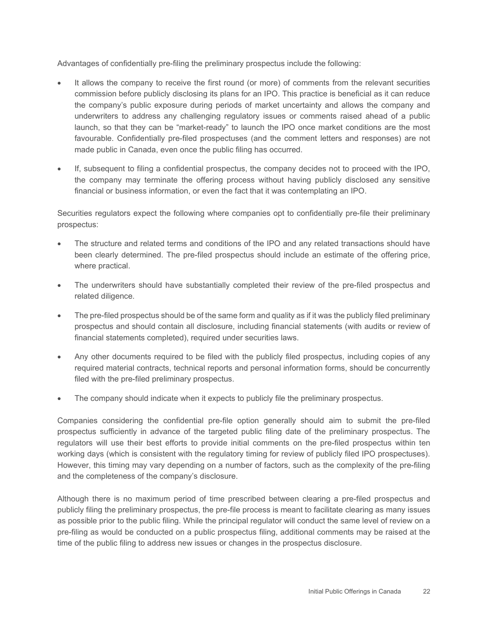Advantages of confidentially pre-filing the preliminary prospectus include the following:

- • It allows the company to receive the first round (or more) of comments from the relevant securities launch, so that they can be "market-ready" to launch the IPO once market conditions are the most commission before publicly disclosing its plans for an IPO. This practice is beneficial as it can reduce the company's public exposure during periods of market uncertainty and allows the company and underwriters to address any challenging regulatory issues or comments raised ahead of a public favourable. Confidentially pre-filed prospectuses (and the comment letters and responses) are not made public in Canada, even once the public filing has occurred.
- • If, subsequent to filing a confidential prospectus, the company decides not to proceed with the IPO, the company may terminate the offering process without having publicly disclosed any sensitive financial or business information, or even the fact that it was contemplating an IPO.

 Securities regulators expect the following where companies opt to confidentially pre-file their preliminary prospectus:

- • The structure and related terms and conditions of the IPO and any related transactions should have been clearly determined. The pre-filed prospectus should include an estimate of the offering price, where practical.
- The underwriters should have substantially completed their review of the pre-filed prospectus and related diligence.
- prospectus and should contain all disclosure, including financial statements (with audits or review of • The pre-filed prospectus should be of the same form and quality as if it was the publicly filed preliminary financial statements completed), required under securities laws.
- • Any other documents required to be filed with the publicly filed prospectus, including copies of any required material contracts, technical reports and personal information forms, should be concurrently filed with the pre-filed preliminary prospectus.
- The company should indicate when it expects to publicly file the preliminary prospectus.

 Companies considering the confidential pre-file option generally should aim to submit the pre-filed prospectus sufficiently in advance of the targeted public filing date of the preliminary prospectus. The regulators will use their best efforts to provide initial comments on the pre-filed prospectus within ten working days (which is consistent with the regulatory timing for review of publicly filed IPO prospectuses). However, this timing may vary depending on a number of factors, such as the complexity of the pre-filing and the completeness of the company's disclosure.

 pre-filing as would be conducted on a public prospectus filing, additional comments may be raised at the Although there is no maximum period of time prescribed between clearing a pre-filed prospectus and publicly filing the preliminary prospectus, the pre-file process is meant to facilitate clearing as many issues as possible prior to the public filing. While the principal regulator will conduct the same level of review on a time of the public filing to address new issues or changes in the prospectus disclosure.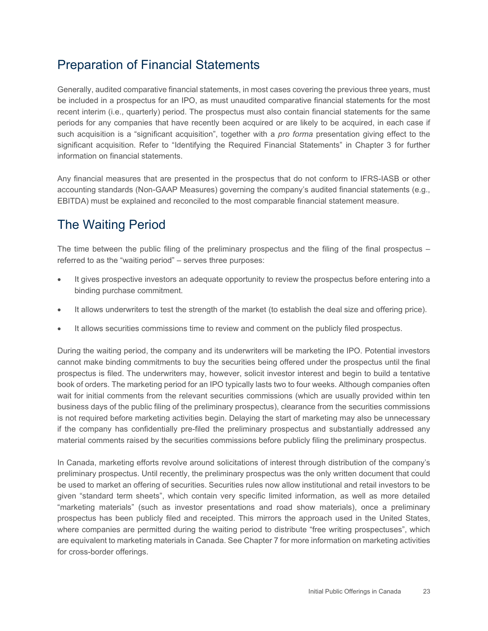## <span id="page-28-0"></span>Preparation of Financial Statements

 be included in a prospectus for an IPO, as must unaudited comparative financial statements for the most periods for any companies that have recently been acquired or are likely to be acquired, in each case if such acquisition is a "significant acquisition", together with a *pro forma* presentation giving effect to the significant acquisition. Refer to "Identifying the Required Financial Statements" in Chapter 3 for further Generally, audited comparative financial statements, in most cases covering the previous three years, must recent interim (i.e., quarterly) period. The prospectus must also contain financial statements for the same information on financial statements.

 Any financial measures that are presented in the prospectus that do not conform to IFRS-IASB or other accounting standards (Non-GAAP Measures) governing the company's audited financial statements (e.g., EBITDA) must be explained and reconciled to the most comparable financial statement measure.

## <span id="page-28-1"></span>The Waiting Period

The time between the public filing of the preliminary prospectus and the filing of the final prospectus – referred to as the "waiting period" – serves three purposes:

- It gives prospective investors an adequate opportunity to review the prospectus before entering into a binding purchase commitment.
- It allows underwriters to test the strength of the market (to establish the deal size and offering price).
- It allows securities commissions time to review and comment on the publicly filed prospectus.

 During the waiting period, the company and its underwriters will be marketing the IPO. Potential investors prospectus is filed. The underwriters may, however, solicit investor interest and begin to build a tentative book of orders. The marketing period for an IPO typically lasts two to four weeks. Although companies often wait for initial comments from the relevant securities commissions (which are usually provided within ten cannot make binding commitments to buy the securities being offered under the prospectus until the final business days of the public filing of the preliminary prospectus), clearance from the securities commissions is not required before marketing activities begin. Delaying the start of marketing may also be unnecessary if the company has confidentially pre-filed the preliminary prospectus and substantially addressed any material comments raised by the securities commissions before publicly filing the preliminary prospectus.

 In Canada, marketing efforts revolve around solicitations of interest through distribution of the company's be used to market an offering of securities. Securities rules now allow institutional and retail investors to be given "standard term sheets", which contain very specific limited information, as well as more detailed "marketing materials" (such as investor presentations and road show materials), once a preliminary where companies are permitted during the waiting period to distribute "free writing prospectuses", which preliminary prospectus. Until recently, the preliminary prospectus was the only written document that could prospectus has been publicly filed and receipted. This mirrors the approach used in the United States, are equivalent to marketing materials in Canada. See Chapter 7 for more information on marketing activities for cross-border offerings.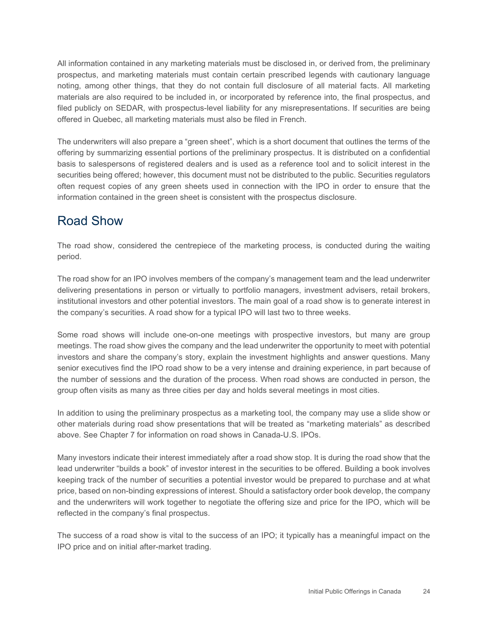noting, among other things, that they do not contain full disclosure of all material facts. All marketing materials are also required to be included in, or incorporated by reference into, the final prospectus, and filed publicly on SEDAR, with prospectus-level liability for any misrepresentations. If securities are being All information contained in any marketing materials must be disclosed in, or derived from, the preliminary prospectus, and marketing materials must contain certain prescribed legends with cautionary language offered in Quebec, all marketing materials must also be filed in French.

 basis to salespersons of registered dealers and is used as a reference tool and to solicit interest in the often request copies of any green sheets used in connection with the IPO in order to ensure that the The underwriters will also prepare a "green sheet", which is a short document that outlines the terms of the offering by summarizing essential portions of the preliminary prospectus. It is distributed on a confidential securities being offered; however, this document must not be distributed to the public. Securities regulators information contained in the green sheet is consistent with the prospectus disclosure.

## <span id="page-29-0"></span>Road Show

The road show, considered the centrepiece of the marketing process, is conducted during the waiting period.

 delivering presentations in person or virtually to portfolio managers, investment advisers, retail brokers, The road show for an IPO involves members of the company's management team and the lead underwriter institutional investors and other potential investors. The main goal of a road show is to generate interest in the company's securities. A road show for a typical IPO will last two to three weeks.

 investors and share the company's story, explain the investment highlights and answer questions. Many the number of sessions and the duration of the process. When road shows are conducted in person, the group often visits as many as three cities per day and holds several meetings in most cities. Some road shows will include one-on-one meetings with prospective investors, but many are group meetings. The road show gives the company and the lead underwriter the opportunity to meet with potential senior executives find the IPO road show to be a very intense and draining experience, in part because of

 other materials during road show presentations that will be treated as "marketing materials" as described In addition to using the preliminary prospectus as a marketing tool, the company may use a slide show or above. See Chapter 7 for information on road shows in Canada-U.S. IPOs.

 and the underwriters will work together to negotiate the offering size and price for the IPO, which will be Many investors indicate their interest immediately after a road show stop. It is during the road show that the lead underwriter "builds a book" of investor interest in the securities to be offered. Building a book involves keeping track of the number of securities a potential investor would be prepared to purchase and at what price, based on non-binding expressions of interest. Should a satisfactory order book develop, the company reflected in the company's final prospectus.

 The success of a road show is vital to the success of an IPO; it typically has a meaningful impact on the IPO price and on initial after-market trading.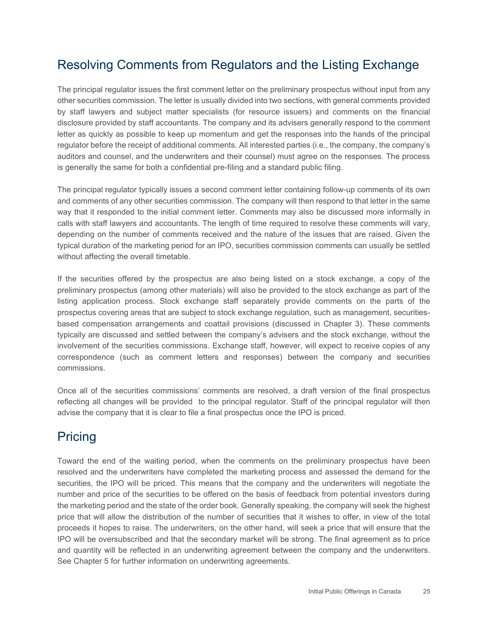## <span id="page-30-0"></span>Resolving Comments from Regulators and the Listing Exchange

 The principal regulator issues the first comment letter on the preliminary prospectus without input from any other securities commission. The letter is usually divided into two sections, with general comments provided letter as quickly as possible to keep up momentum and get the responses into the hands of the principal regulator before the receipt of additional comments. All interested parties (i.e., the company, the company's by staff lawyers and subject matter specialists (for resource issuers) and comments on the financial disclosure provided by staff accountants. The company and its advisers generally respond to the comment auditors and counsel, and the underwriters and their counsel) must agree on the responses. The process is generally the same for both a confidential pre-filing and a standard public filing.

 way that it responded to the initial comment letter. Comments may also be discussed more informally in calls with staff lawyers and accountants. The length of time required to resolve these comments will vary, depending on the number of comments received and the nature of the issues that are raised. Given the The principal regulator typically issues a second comment letter containing follow-up comments of its own and comments of any other securities commission. The company will then respond to that letter in the same typical duration of the marketing period for an IPO, securities commission comments can usually be settled without affecting the overall timetable.

 preliminary prospectus (among other materials) will also be provided to the stock exchange as part of the listing application process. Stock exchange staff separately provide comments on the parts of the prospectus covering areas that are subject to stock exchange regulation, such as management, securities- typically are discussed and settled between the company's advisers and the stock exchange, without the involvement of the securities commissions. Exchange staff, however, will expect to receive copies of any If the securities offered by the prospectus are also being listed on a stock exchange, a copy of the based compensation arrangements and coattail provisions (discussed in Chapter 3). These comments correspondence (such as comment letters and responses) between the company and securities commissions.

 reflecting all changes will be provided to the principal regulator. Staff of the principal regulator will then Once all of the securities commissions' comments are resolved, a draft version of the final prospectus advise the company that it is clear to file a final prospectus once the IPO is priced.

## <span id="page-30-1"></span>Pricing

 resolved and the underwriters have completed the marketing process and assessed the demand for the securities, the IPO will be priced. This means that the company and the underwriters will negotiate the number and price of the securities to be offered on the basis of feedback from potential investors during price that will allow the distribution of the number of securities that it wishes to offer, in view of the total proceeds it hopes to raise. The underwriters, on the other hand, will seek a price that will ensure that the IPO will be oversubscribed and that the secondary market will be strong. The final agreement as to price and quantity will be reflected in an underwriting agreement between the company and the underwriters. Toward the end of the waiting period, when the comments on the preliminary prospectus have been the marketing period and the state of the order book. Generally speaking, the company will seek the highest See Chapter 5 for further information on underwriting agreements.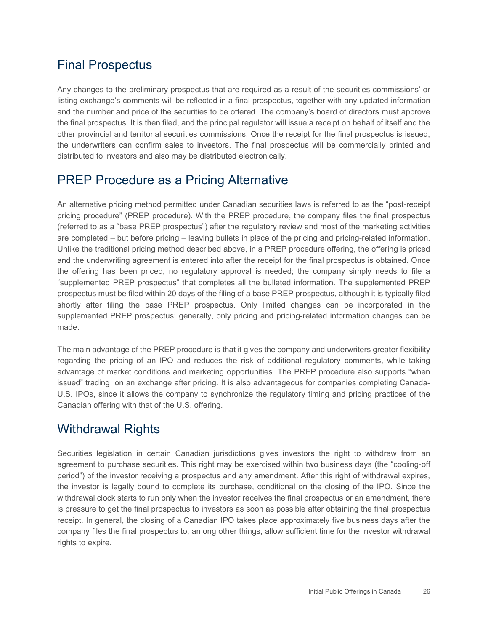## <span id="page-31-0"></span>Final Prospectus

 Any changes to the preliminary prospectus that are required as a result of the securities commissions' or the final prospectus. It is then filed, and the principal regulator will issue a receipt on behalf of itself and the other provincial and territorial securities commissions. Once the receipt for the final prospectus is issued, listing exchange's comments will be reflected in a final prospectus, together with any updated information and the number and price of the securities to be offered. The company's board of directors must approve the underwriters can confirm sales to investors. The final prospectus will be commercially printed and distributed to investors and also may be distributed electronically.

## <span id="page-31-1"></span>PREP Procedure as a Pricing Alternative

 pricing procedure" (PREP procedure). With the PREP procedure, the company files the final prospectus "supplemented PREP prospectus" that completes all the bulleted information. The supplemented PREP supplemented PREP prospectus; generally, only pricing and pricing-related information changes can be An alternative pricing method permitted under Canadian securities laws is referred to as the "post-receipt (referred to as a "base PREP prospectus") after the regulatory review and most of the marketing activities are completed – but before pricing – leaving bullets in place of the pricing and pricing-related information. Unlike the traditional pricing method described above, in a PREP procedure offering, the offering is priced and the underwriting agreement is entered into after the receipt for the final prospectus is obtained. Once the offering has been priced, no regulatory approval is needed; the company simply needs to file a prospectus must be filed within 20 days of the filing of a base PREP prospectus, although it is typically filed shortly after filing the base PREP prospectus. Only limited changes can be incorporated in the made.

 advantage of market conditions and marketing opportunities. The PREP procedure also supports "when U.S. IPOs, since it allows the company to synchronize the regulatory timing and pricing practices of the The main advantage of the PREP procedure is that it gives the company and underwriters greater flexibility regarding the pricing of an IPO and reduces the risk of additional regulatory comments, while taking issued" trading on an exchange after pricing. It is also advantageous for companies completing Canada-Canadian offering with that of the U.S. offering.

## <span id="page-31-2"></span>Withdrawal Rights

 agreement to purchase securities. This right may be exercised within two business days (the "cooling-off the investor is legally bound to complete its purchase, conditional on the closing of the IPO. Since the is pressure to get the final prospectus to investors as soon as possible after obtaining the final prospectus receipt. In general, the closing of a Canadian IPO takes place approximately five business days after the Securities legislation in certain Canadian jurisdictions gives investors the right to withdraw from an period") of the investor receiving a prospectus and any amendment. After this right of withdrawal expires, withdrawal clock starts to run only when the investor receives the final prospectus or an amendment, there company files the final prospectus to, among other things, allow sufficient time for the investor withdrawal rights to expire.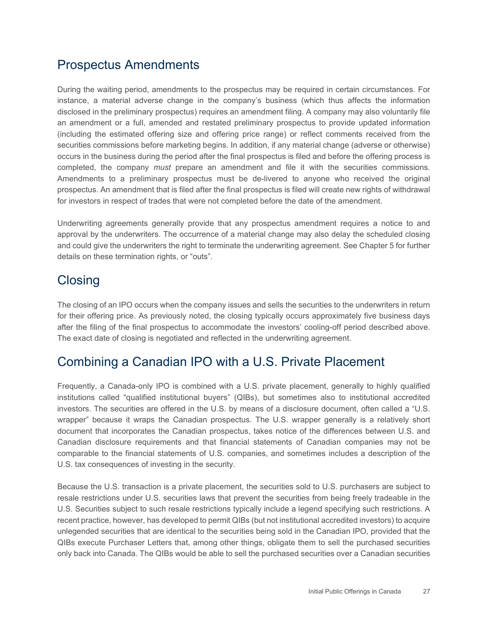#### <span id="page-32-0"></span>Prospectus Amendments

 During the waiting period, amendments to the prospectus may be required in certain circumstances. For occurs in the business during the period after the final prospectus is filed and before the offering process is completed, the company *must* prepare an amendment and file it with the securities commissions. Amendments to a preliminary prospectus must be de-livered to anyone who received the original instance, a material adverse change in the company's business (which thus affects the information disclosed in the preliminary prospectus) requires an amendment filing. A company may also voluntarily file an amendment or a full, amended and restated preliminary prospectus to provide updated information (including the estimated offering size and offering price range) or reflect comments received from the securities commissions before marketing begins. In addition, if any material change (adverse or otherwise) prospectus. An amendment that is filed after the final prospectus is filed will create new rights of withdrawal for investors in respect of trades that were not completed before the date of the amendment.

Underwriting agreements generally provide that any prospectus amendment requires a notice to and approval by the underwriters. The occurrence of a material change may also delay the scheduled closing and could give the underwriters the right to terminate the underwriting agreement. See Chapter 5 for further details on these termination rights, or "outs".

## <span id="page-32-1"></span>**Closing**

 for their offering price. As previously noted, the closing typically occurs approximately five business days after the filing of the final prospectus to accommodate the investors' cooling-off period described above. The closing of an IPO occurs when the company issues and sells the securities to the underwriters in return The exact date of closing is negotiated and reflected in the underwriting agreement.

## <span id="page-32-2"></span>Combining a Canadian IPO with a U.S. Private Placement

 Frequently, a Canada-only IPO is combined with a U.S. private placement, generally to highly qualified investors. The securities are offered in the U.S. by means of a disclosure document, often called a "U.S. wrapper" because it wraps the Canadian prospectus. The U.S. wrapper generally is a relatively short document that incorporates the Canadian prospectus, takes notice of the differences between U.S. and comparable to the financial statements of U.S. companies, and sometimes includes a description of the institutions called "qualified institutional buyers" (QIBs), but sometimes also to institutional accredited Canadian disclosure requirements and that financial statements of Canadian companies may not be U.S. tax consequences of investing in the security.

 unlegended securities that are identical to the securities being sold in the Canadian IPO, provided that the QIBs execute Purchaser Letters that, among other things, obligate them to sell the purchased securities Because the U.S. transaction is a private placement, the securities sold to U.S. purchasers are subject to resale restrictions under U.S. securities laws that prevent the securities from being freely tradeable in the U.S. Securities subject to such resale restrictions typically include a legend specifying such restrictions. A recent practice, however, has developed to permit QIBs (but not institutional accredited investors) to acquire only back into Canada. The QIBs would be able to sell the purchased securities over a Canadian securities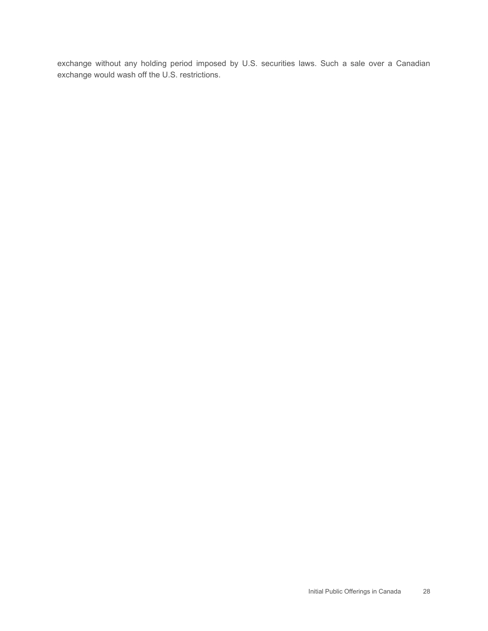exchange without any holding period imposed by U.S. securities laws. Such a sale over a Canadian exchange would wash off the U.S. restrictions.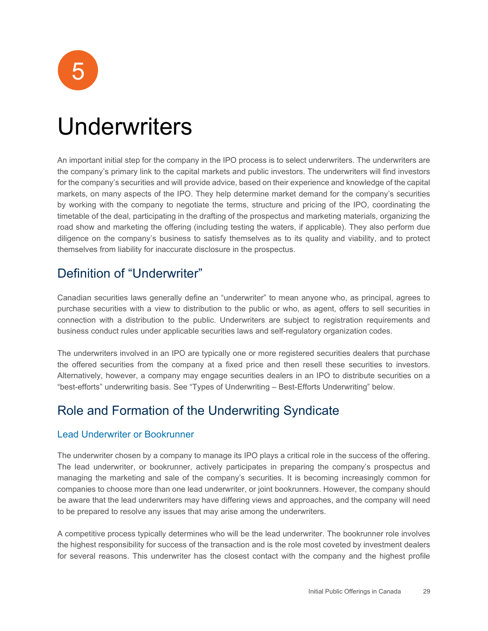

## <span id="page-34-0"></span>Underwriters

 for the company's securities and will provide advice, based on their experience and knowledge of the capital markets, on many aspects of the IPO. They help determine market demand for the company's securities by working with the company to negotiate the terms, structure and pricing of the IPO, coordinating the road show and marketing the offering (including testing the waters, if applicable). They also perform due An important initial step for the company in the IPO process is to select underwriters. The underwriters are the company's primary link to the capital markets and public investors. The underwriters will find investors timetable of the deal, participating in the drafting of the prospectus and marketing materials, organizing the diligence on the company's business to satisfy themselves as to its quality and viability, and to protect themselves from liability for inaccurate disclosure in the prospectus.

## <span id="page-34-1"></span>Definition of "Underwriter"

 Canadian securities laws generally define an "underwriter" to mean anyone who, as principal, agrees to purchase securities with a view to distribution to the public or who, as agent, offers to sell securities in connection with a distribution to the public. Underwriters are subject to registration requirements and business conduct rules under applicable securities laws and self-regulatory organization codes.

 Alternatively, however, a company may engage securities dealers in an IPO to distribute securities on a The underwriters involved in an IPO are typically one or more registered securities dealers that purchase the offered securities from the company at a fixed price and then resell these securities to investors. "best-efforts" underwriting basis. See "Types of Underwriting – Best-Efforts Underwriting" below.

## <span id="page-34-2"></span>Role and Formation of the Underwriting Syndicate

#### Lead Underwriter or Bookrunner

The underwriter chosen by a company to manage its IPO plays a critical role in the success of the offering. The lead underwriter, or bookrunner, actively participates in preparing the company's prospectus and managing the marketing and sale of the company's securities. It is becoming increasingly common for companies to choose more than one lead underwriter, or joint bookrunners. However, the company should be aware that the lead underwriters may have differing views and approaches, and the company will need to be prepared to resolve any issues that may arise among the underwriters.

 the highest responsibility for success of the transaction and is the role most coveted by investment dealers A competitive process typically determines who will be the lead underwriter. The bookrunner role involves for several reasons. This underwriter has the closest contact with the company and the highest profile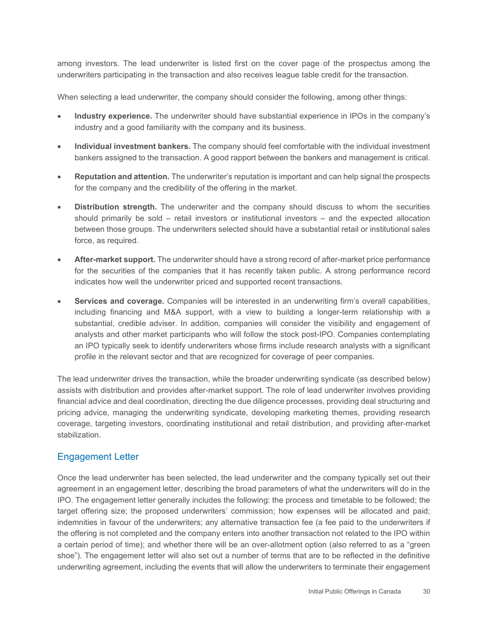among investors. The lead underwriter is listed first on the cover page of the prospectus among the underwriters participating in the transaction and also receives league table credit for the transaction.

When selecting a lead underwriter, the company should consider the following, among other things:

- **Industry experience.** The underwriter should have substantial experience in IPOs in the company's industry and a good familiarity with the company and its business.
- • **Individual investment bankers.** The company should feel comfortable with the individual investment bankers assigned to the transaction. A good rapport between the bankers and management is critical.
- **Reputation and attention.** The underwriter's reputation is important and can help signal the prospects for the company and the credibility of the offering in the market.
- should primarily be sold retail investors or institutional investors and the expected allocation • **Distribution strength.** The underwriter and the company should discuss to whom the securities between those groups. The underwriters selected should have a substantial retail or institutional sales force, as required.
- **After-market support.** The underwriter should have a strong record of after-market price performance for the securities of the companies that it has recently taken public. A strong performance record indicates how well the underwriter priced and supported recent transactions.
- • **Services and coverage.** Companies will be interested in an underwriting firm's overall capabilities, analysts and other market participants who will follow the stock post-IPO. Companies contemplating including financing and M&A support, with a view to building a longer-term relationship with a substantial, credible adviser. In addition, companies will consider the visibility and engagement of an IPO typically seek to identify underwriters whose firms include research analysts with a significant profile in the relevant sector and that are recognized for coverage of peer companies.

 coverage, targeting investors, coordinating institutional and retail distribution, and providing after-market The lead underwriter drives the transaction, while the broader underwriting syndicate (as described below) assists with distribution and provides after-market support. The role of lead underwriter involves providing financial advice and deal coordination, directing the due diligence processes, providing deal structuring and pricing advice, managing the underwriting syndicate, developing marketing themes, providing research stabilization.

#### Engagement Letter

 indemnities in favour of the underwriters; any alternative transaction fee (a fee paid to the underwriters if a certain period of time); and whether there will be an over-allotment option (also referred to as a "green shoe"). The engagement letter will also set out a number of terms that are to be reflected in the definitive underwriting agreement, including the events that will allow the underwriters to terminate their engagement Once the lead underwriter has been selected, the lead underwriter and the company typically set out their agreement in an engagement letter, describing the broad parameters of what the underwriters will do in the IPO. The engagement letter generally includes the following: the process and timetable to be followed; the target offering size; the proposed underwriters' commission; how expenses will be allocated and paid; the offering is not completed and the company enters into another transaction not related to the IPO within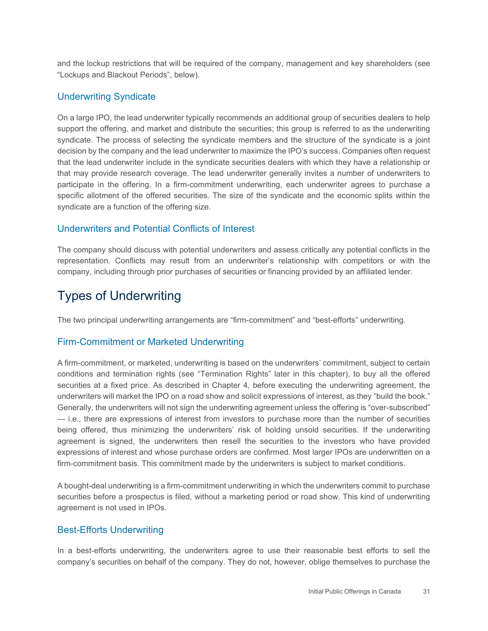and the lockup restrictions that will be required of the company, management and key shareholders (see "Lockups and Blackout Periods", below).

#### Underwriting Syndicate

 syndicate. The process of selecting the syndicate members and the structure of the syndicate is a joint that may provide research coverage. The lead underwriter generally invites a number of underwriters to specific allotment of the offered securities. The size of the syndicate and the economic splits within the On a large IPO, the lead underwriter typically recommends an additional group of securities dealers to help support the offering, and market and distribute the securities; this group is referred to as the underwriting decision by the company and the lead underwriter to maximize the IPO's success. Companies often request that the lead underwriter include in the syndicate securities dealers with which they have a relationship or participate in the offering. In a firm-commitment underwriting, each underwriter agrees to purchase a syndicate are a function of the offering size.

#### Underwriters and Potential Conflicts of Interest

 representation. Conflicts may result from an underwriter's relationship with competitors or with the The company should discuss with potential underwriters and assess critically any potential conflicts in the company, including through prior purchases of securities or financing provided by an affiliated lender.

#### <span id="page-36-0"></span>Types of Underwriting

The two principal underwriting arrangements are "firm-commitment" and "best-efforts" underwriting.

#### Firm-Commitment or Marketed Underwriting

 securities at a fixed price. As described in Chapter 4, before executing the underwriting agreement, the underwriters will market the IPO on a road show and solicit expressions of interest, as they "build the book." — i.e., there are expressions of interest from investors to purchase more than the number of securities being offered, thus minimizing the underwriters' risk of holding unsold securities. If the underwriting expressions of interest and whose purchase orders are confirmed. Most larger IPOs are underwritten on a A firm-commitment, or marketed, underwriting is based on the underwriters' commitment, subject to certain conditions and termination rights (see "Termination Rights" later in this chapter), to buy all the offered Generally, the underwriters will not sign the underwriting agreement unless the offering is "over-subscribed" agreement is signed, the underwriters then resell the securities to the investors who have provided firm-commitment basis. This commitment made by the underwriters is subject to market conditions.

A bought-deal underwriting is a firm-commitment underwriting in which the underwriters commit to purchase securities before a prospectus is filed, without a marketing period or road show. This kind of underwriting agreement is not used in IPOs.

#### Best-Efforts Underwriting

In a best-efforts underwriting, the underwriters agree to use their reasonable best efforts to sell the company's securities on behalf of the company. They do not, however, oblige themselves to purchase the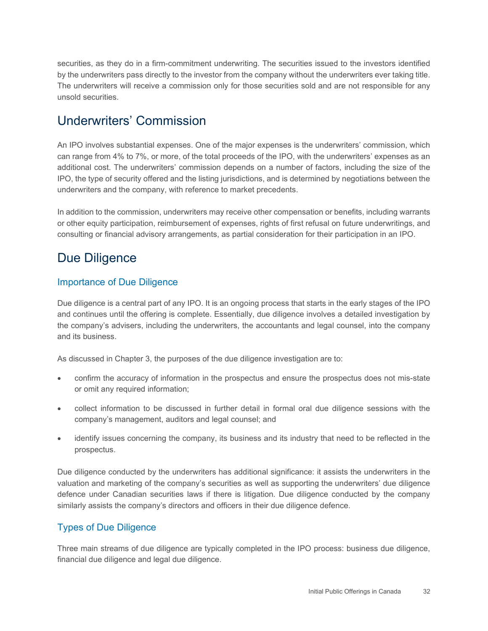securities, as they do in a firm-commitment underwriting. The securities issued to the investors identified The underwriters will receive a commission only for those securities sold and are not responsible for any by the underwriters pass directly to the investor from the company without the underwriters ever taking title. unsold securities.

#### <span id="page-37-0"></span>Underwriters' Commission

 can range from 4% to 7%, or more, of the total proceeds of the IPO, with the underwriters' expenses as an additional cost. The underwriters' commission depends on a number of factors, including the size of the An IPO involves substantial expenses. One of the major expenses is the underwriters' commission, which IPO, the type of security offered and the listing jurisdictions, and is determined by negotiations between the underwriters and the company, with reference to market precedents.

In addition to the commission, underwriters may receive other compensation or benefits, including warrants or other equity participation, reimbursement of expenses, rights of first refusal on future underwritings, and consulting or financial advisory arrangements, as partial consideration for their participation in an IPO.

#### <span id="page-37-1"></span>Due Diligence

#### Importance of Due Diligence

 the company's advisers, including the underwriters, the accountants and legal counsel, into the company Due diligence is a central part of any IPO. It is an ongoing process that starts in the early stages of the IPO and continues until the offering is complete. Essentially, due diligence involves a detailed investigation by and its business.

As discussed in Chapter 3, the purposes of the due diligence investigation are to:

- • confirm the accuracy of information in the prospectus and ensure the prospectus does not mis-state or omit any required information;
- collect information to be discussed in further detail in formal oral due diligence sessions with the company's management, auditors and legal counsel; and
- identify issues concerning the company, its business and its industry that need to be reflected in the prospectus.

Due diligence conducted by the underwriters has additional significance: it assists the underwriters in the valuation and marketing of the company's securities as well as supporting the underwriters' due diligence defence under Canadian securities laws if there is litigation. Due diligence conducted by the company similarly assists the company's directors and officers in their due diligence defence.

#### Types of Due Diligence

 Three main streams of due diligence are typically completed in the IPO process: business due diligence, financial due diligence and legal due diligence.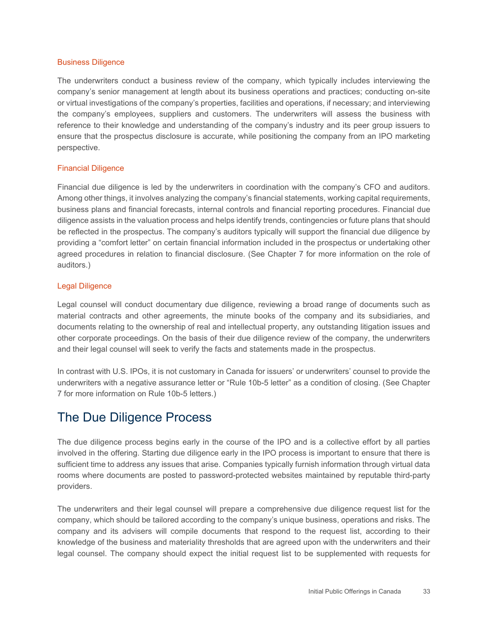#### Business Diligence

 company's senior management at length about its business operations and practices; conducting on-site or virtual investigations of the company's properties, facilities and operations, if necessary; and interviewing reference to their knowledge and understanding of the company's industry and its peer group issuers to ensure that the prospectus disclosure is accurate, while positioning the company from an IPO marketing The underwriters conduct a business review of the company, which typically includes interviewing the the company's employees, suppliers and customers. The underwriters will assess the business with perspective.

#### Financial Diligence

 Financial due diligence is led by the underwriters in coordination with the company's CFO and auditors. agreed procedures in relation to financial disclosure. (See Chapter 7 for more information on the role of Among other things, it involves analyzing the company's financial statements, working capital requirements, business plans and financial forecasts, internal controls and financial reporting procedures. Financial due diligence assists in the valuation process and helps identify trends, contingencies or future plans that should be reflected in the prospectus. The company's auditors typically will support the financial due diligence by providing a "comfort letter" on certain financial information included in the prospectus or undertaking other auditors.)

#### Legal Diligence

 material contracts and other agreements, the minute books of the company and its subsidiaries, and other corporate proceedings. On the basis of their due diligence review of the company, the underwriters Legal counsel will conduct documentary due diligence, reviewing a broad range of documents such as documents relating to the ownership of real and intellectual property, any outstanding litigation issues and and their legal counsel will seek to verify the facts and statements made in the prospectus.

In contrast with U.S. IPOs, it is not customary in Canada for issuers' or underwriters' counsel to provide the underwriters with a negative assurance letter or "Rule 10b-5 letter" as a condition of closing. (See Chapter 7 for more information on Rule 10b-5 letters.)

## <span id="page-38-0"></span>The Due Diligence Process

 The due diligence process begins early in the course of the IPO and is a collective effort by all parties sufficient time to address any issues that arise. Companies typically furnish information through virtual data involved in the offering. Starting due diligence early in the IPO process is important to ensure that there is rooms where documents are posted to password-protected websites maintained by reputable third-party providers.

 The underwriters and their legal counsel will prepare a comprehensive due diligence request list for the company, which should be tailored according to the company's unique business, operations and risks. The company and its advisers will compile documents that respond to the request list, according to their knowledge of the business and materiality thresholds that are agreed upon with the underwriters and their legal counsel. The company should expect the initial request list to be supplemented with requests for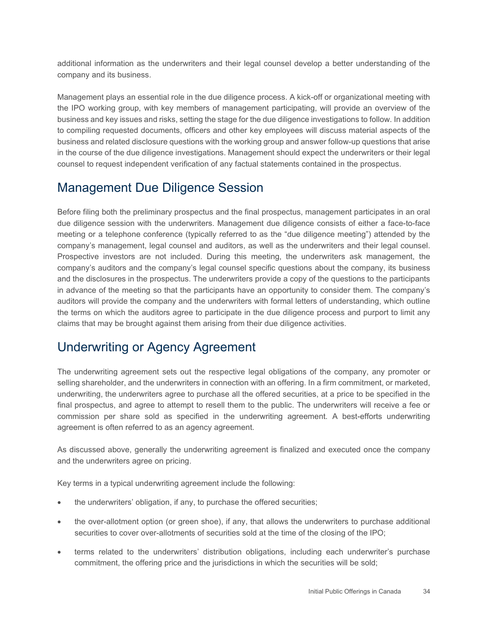additional information as the underwriters and their legal counsel develop a better understanding of the company and its business.

 the IPO working group, with key members of management participating, will provide an overview of the to compiling requested documents, officers and other key employees will discuss material aspects of the in the course of the due diligence investigations. Management should expect the underwriters or their legal counsel to request independent verification of any factual statements contained in the prospectus. Management plays an essential role in the due diligence process. A kick-off or organizational meeting with business and key issues and risks, setting the stage for the due diligence investigations to follow. In addition business and related disclosure questions with the working group and answer follow-up questions that arise

## <span id="page-39-0"></span>Management Due Diligence Session

 due diligence session with the underwriters. Management due diligence consists of either a face-to-face meeting or a telephone conference (typically referred to as the "due diligence meeting") attended by the company's management, legal counsel and auditors, as well as the underwriters and their legal counsel. company's auditors and the company's legal counsel specific questions about the company, its business in advance of the meeting so that the participants have an opportunity to consider them. The company's the terms on which the auditors agree to participate in the due diligence process and purport to limit any Before filing both the preliminary prospectus and the final prospectus, management participates in an oral Prospective investors are not included. During this meeting, the underwriters ask management, the and the disclosures in the prospectus. The underwriters provide a copy of the questions to the participants auditors will provide the company and the underwriters with formal letters of understanding, which outline claims that may be brought against them arising from their due diligence activities.

## <span id="page-39-1"></span>Underwriting or Agency Agreement

 The underwriting agreement sets out the respective legal obligations of the company, any promoter or selling shareholder, and the underwriters in connection with an offering. In a firm commitment, or marketed, final prospectus, and agree to attempt to resell them to the public. The underwriters will receive a fee or commission per share sold as specified in the underwriting agreement. A best-efforts underwriting underwriting, the underwriters agree to purchase all the offered securities, at a price to be specified in the agreement is often referred to as an agency agreement.

 As discussed above, generally the underwriting agreement is finalized and executed once the company and the underwriters agree on pricing.

Key terms in a typical underwriting agreement include the following:

- the underwriters' obligation, if any, to purchase the offered securities;
- • the over-allotment option (or green shoe), if any, that allows the underwriters to purchase additional securities to cover over-allotments of securities sold at the time of the closing of the IPO;
- terms related to the underwriters' distribution obligations, including each underwriter's purchase commitment, the offering price and the jurisdictions in which the securities will be sold;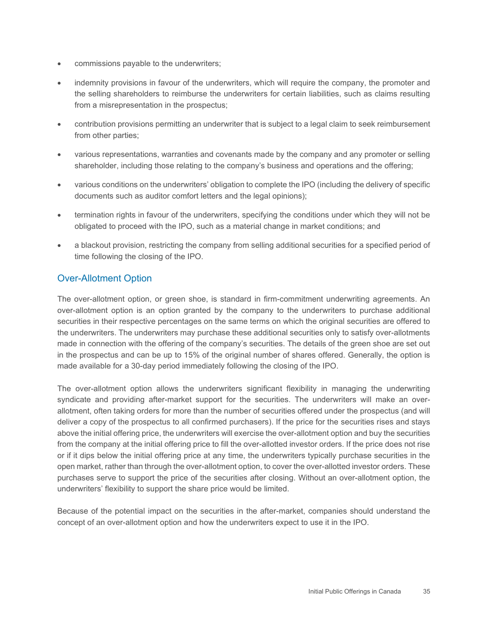- commissions payable to the underwriters;
- the selling shareholders to reimburse the underwriters for certain liabilities, such as claims resulting • indemnity provisions in favour of the underwriters, which will require the company, the promoter and from a misrepresentation in the prospectus;
- contribution provisions permitting an underwriter that is subject to a legal claim to seek reimbursement from other parties;
- various representations, warranties and covenants made by the company and any promoter or selling shareholder, including those relating to the company's business and operations and the offering;
- documents such as auditor comfort letters and the legal opinions); • various conditions on the underwriters' obligation to complete the IPO (including the delivery of specific
- termination rights in favour of the underwriters, specifying the conditions under which they will not be obligated to proceed with the IPO, such as a material change in market conditions; and
- a blackout provision, restricting the company from selling additional securities for a specified period of time following the closing of the IPO.

#### Over-Allotment Option

 The over-allotment option, or green shoe, is standard in firm-commitment underwriting agreements. An made in connection with the offering of the company's securities. The details of the green shoe are set out over-allotment option is an option granted by the company to the underwriters to purchase additional securities in their respective percentages on the same terms on which the original securities are offered to the underwriters. The underwriters may purchase these additional securities only to satisfy over-allotments in the prospectus and can be up to 15% of the original number of shares offered. Generally, the option is made available for a 30-day period immediately following the closing of the IPO.

 purchases serve to support the price of the securities after closing. Without an over-allotment option, the The over-allotment option allows the underwriters significant flexibility in managing the underwriting syndicate and providing after-market support for the securities. The underwriters will make an overallotment, often taking orders for more than the number of securities offered under the prospectus (and will deliver a copy of the prospectus to all confirmed purchasers). If the price for the securities rises and stays above the initial offering price, the underwriters will exercise the over-allotment option and buy the securities from the company at the initial offering price to fill the over-allotted investor orders. If the price does not rise or if it dips below the initial offering price at any time, the underwriters typically purchase securities in the open market, rather than through the over-allotment option, to cover the over-allotted investor orders. These underwriters' flexibility to support the share price would be limited.

 Because of the potential impact on the securities in the after-market, companies should understand the concept of an over-allotment option and how the underwriters expect to use it in the IPO.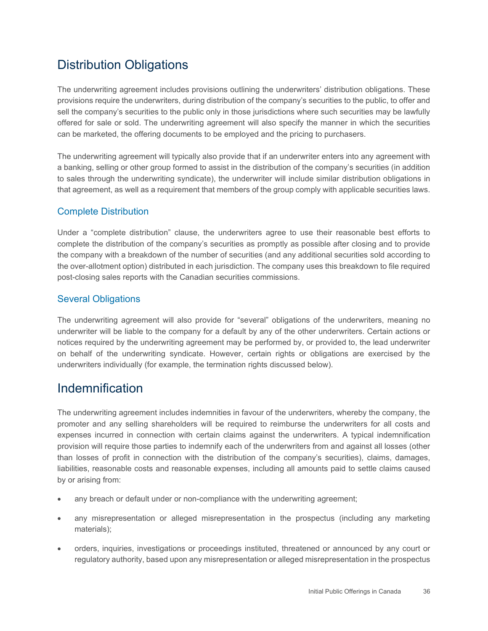## <span id="page-41-0"></span>Distribution Obligations

 offered for sale or sold. The underwriting agreement will also specify the manner in which the securities The underwriting agreement includes provisions outlining the underwriters' distribution obligations. These provisions require the underwriters, during distribution of the company's securities to the public, to offer and sell the company's securities to the public only in those jurisdictions where such securities may be lawfully can be marketed, the offering documents to be employed and the pricing to purchasers.

 to sales through the underwriting syndicate), the underwriter will include similar distribution obligations in The underwriting agreement will typically also provide that if an underwriter enters into any agreement with a banking, selling or other group formed to assist in the distribution of the company's securities (in addition that agreement, as well as a requirement that members of the group comply with applicable securities laws.

#### Complete Distribution

Under a "complete distribution" clause, the underwriters agree to use their reasonable best efforts to complete the distribution of the company's securities as promptly as possible after closing and to provide the company with a breakdown of the number of securities (and any additional securities sold according to the over-allotment option) distributed in each jurisdiction. The company uses this breakdown to file required post-closing sales reports with the Canadian securities commissions.

#### Several Obligations

 underwriter will be liable to the company for a default by any of the other underwriters. Certain actions or on behalf of the underwriting syndicate. However, certain rights or obligations are exercised by the The underwriting agreement will also provide for "several" obligations of the underwriters, meaning no notices required by the underwriting agreement may be performed by, or provided to, the lead underwriter underwriters individually (for example, the termination rights discussed below).

## <span id="page-41-1"></span>Indemnification

 provision will require those parties to indemnify each of the underwriters from and against all losses (other liabilities, reasonable costs and reasonable expenses, including all amounts paid to settle claims caused The underwriting agreement includes indemnities in favour of the underwriters, whereby the company, the promoter and any selling shareholders will be required to reimburse the underwriters for all costs and expenses incurred in connection with certain claims against the underwriters. A typical indemnification than losses of profit in connection with the distribution of the company's securities), claims, damages, by or arising from:

- any breach or default under or non-compliance with the underwriting agreement;
- • any misrepresentation or alleged misrepresentation in the prospectus (including any marketing materials);
- • orders, inquiries, investigations or proceedings instituted, threatened or announced by any court or regulatory authority, based upon any misrepresentation or alleged misrepresentation in the prospectus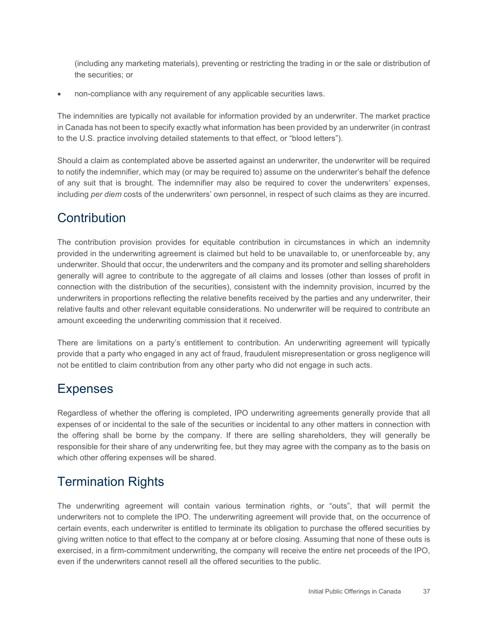(including any marketing materials), preventing or restricting the trading in or the sale or distribution of the securities; or

• non-compliance with any requirement of any applicable securities laws.

The indemnities are typically not available for information provided by an underwriter. The market practice in Canada has not been to specify exactly what information has been provided by an underwriter (in contrast to the U.S. practice involving detailed statements to that effect, or "blood letters").

Should a claim as contemplated above be asserted against an underwriter, the underwriter will be required to notify the indemnifier, which may (or may be required to) assume on the underwriter's behalf the defence of any suit that is brought. The indemnifier may also be required to cover the underwriters' expenses, including *per diem* costs of the underwriters' own personnel, in respect of such claims as they are incurred.

#### <span id="page-42-0"></span>**Contribution**

 generally will agree to contribute to the aggregate of all claims and losses (other than losses of profit in connection with the distribution of the securities), consistent with the indemnity provision, incurred by the relative faults and other relevant equitable considerations. No underwriter will be required to contribute an The contribution provision provides for equitable contribution in circumstances in which an indemnity provided in the underwriting agreement is claimed but held to be unavailable to, or unenforceable by, any underwriter. Should that occur, the underwriters and the company and its promoter and selling shareholders underwriters in proportions reflecting the relative benefits received by the parties and any underwriter, their amount exceeding the underwriting commission that it received.

There are limitations on a party's entitlement to contribution. An underwriting agreement will typically provide that a party who engaged in any act of fraud, fraudulent misrepresentation or gross negligence will not be entitled to claim contribution from any other party who did not engage in such acts.

#### <span id="page-42-1"></span>Expenses

 Regardless of whether the offering is completed, IPO underwriting agreements generally provide that all expenses of or incidental to the sale of the securities or incidental to any other matters in connection with responsible for their share of any underwriting fee, but they may agree with the company as to the basis on the offering shall be borne by the company. If there are selling shareholders, they will generally be which other offering expenses will be shared.

## <span id="page-42-2"></span>Termination Rights

The underwriting agreement will contain various termination rights, or "outs", that will permit the underwriters not to complete the IPO. The underwriting agreement will provide that, on the occurrence of certain events, each underwriter is entitled to terminate its obligation to purchase the offered securities by giving written notice to that effect to the company at or before closing. Assuming that none of these outs is exercised, in a firm-commitment underwriting, the company will receive the entire net proceeds of the IPO, even if the underwriters cannot resell all the offered securities to the public.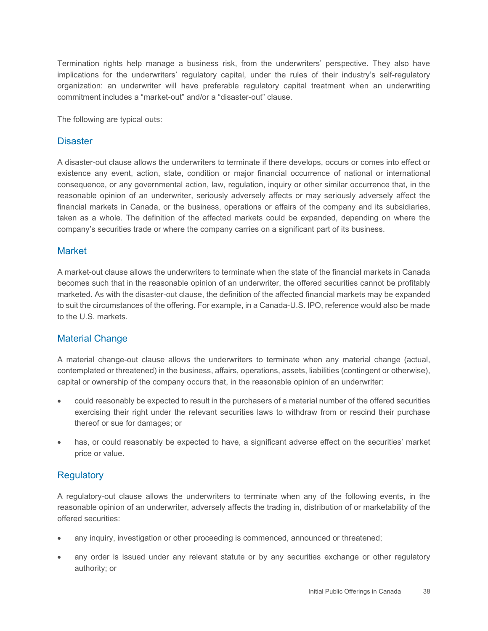organization: an underwriter will have preferable regulatory capital treatment when an underwriting Termination rights help manage a business risk, from the underwriters' perspective. They also have implications for the underwriters' regulatory capital, under the rules of their industry's self-regulatory commitment includes a "market-out" and/or a "disaster-out" clause.

The following are typical outs:

#### **Disaster**

 consequence, or any governmental action, law, regulation, inquiry or other similar occurrence that, in the reasonable opinion of an underwriter, seriously adversely affects or may seriously adversely affect the financial markets in Canada, or the business, operations or affairs of the company and its subsidiaries, A disaster-out clause allows the underwriters to terminate if there develops, occurs or comes into effect or existence any event, action, state, condition or major financial occurrence of national or international taken as a whole. The definition of the affected markets could be expanded, depending on where the company's securities trade or where the company carries on a significant part of its business.

#### **Market**

A market-out clause allows the underwriters to terminate when the state of the financial markets in Canada becomes such that in the reasonable opinion of an underwriter, the offered securities cannot be profitably marketed. As with the disaster-out clause, the definition of the affected financial markets may be expanded to suit the circumstances of the offering. For example, in a Canada-U.S. IPO, reference would also be made to the U.S. markets.

#### Material Change

 contemplated or threatened) in the business, affairs, operations, assets, liabilities (contingent or otherwise), A material change-out clause allows the underwriters to terminate when any material change (actual, capital or ownership of the company occurs that, in the reasonable opinion of an underwriter:

- could reasonably be expected to result in the purchasers of a material number of the offered securities exercising their right under the relevant securities laws to withdraw from or rescind their purchase thereof or sue for damages; or
- • has, or could reasonably be expected to have, a significant adverse effect on the securities' market price or value.

#### **Regulatory**

 A regulatory-out clause allows the underwriters to terminate when any of the following events, in the reasonable opinion of an underwriter, adversely affects the trading in, distribution of or marketability of the offered securities:

- any inquiry, investigation or other proceeding is commenced, announced or threatened;
- any order is issued under any relevant statute or by any securities exchange or other regulatory authority; or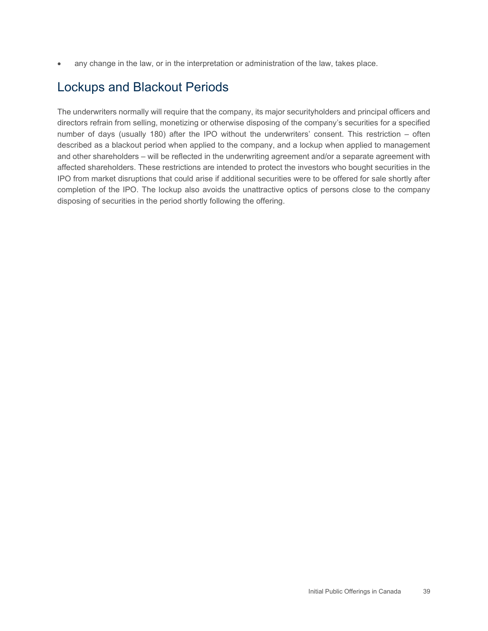• any change in the law, or in the interpretation or administration of the law, takes place.

## <span id="page-44-0"></span>Lockups and Blackout Periods

 completion of the IPO. The lockup also avoids the unattractive optics of persons close to the company The underwriters normally will require that the company, its major securityholders and principal officers and directors refrain from selling, monetizing or otherwise disposing of the company's securities for a specified number of days (usually 180) after the IPO without the underwriters' consent. This restriction – often described as a blackout period when applied to the company, and a lockup when applied to management and other shareholders – will be reflected in the underwriting agreement and/or a separate agreement with affected shareholders. These restrictions are intended to protect the investors who bought securities in the IPO from market disruptions that could arise if additional securities were to be offered for sale shortly after disposing of securities in the period shortly following the offering.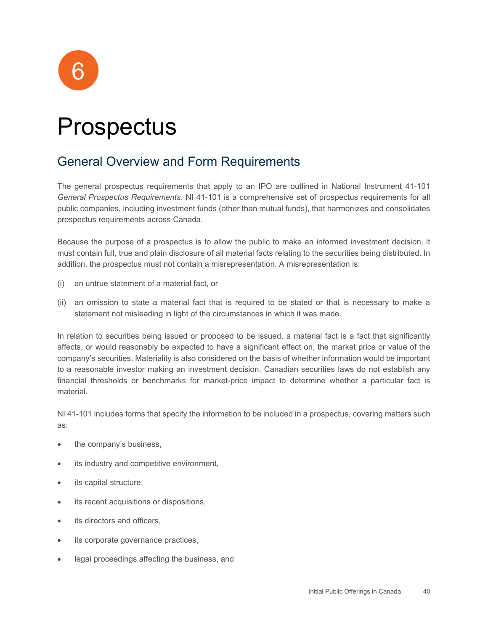

## <span id="page-45-0"></span>**Prospectus**

## <span id="page-45-1"></span>General Overview and Form Requirements

 *General Prospectus Requirements*. NI 41-101 is a comprehensive set of prospectus requirements for all The general prospectus requirements that apply to an IPO are outlined in National Instrument 41-101 public companies, including investment funds (other than mutual funds), that harmonizes and consolidates prospectus requirements across Canada.

 Because the purpose of a prospectus is to allow the public to make an informed investment decision, it must contain full, true and plain disclosure of all material facts relating to the securities being distributed. In addition, the prospectus must not contain a misrepresentation. A misrepresentation is:

- (i) an untrue statement of a material fact, or
- (ii) an omission to state a material fact that is required to be stated or that is necessary to make a statement not misleading in light of the circumstances in which it was made.

 In relation to securities being issued or proposed to be issued, a material fact is a fact that significantly affects, or would reasonably be expected to have a significant effect on, the market price or value of the company's securities. Materiality is also considered on the basis of whether information would be important to a reasonable investor making an investment decision. Canadian securities laws do not establish any financial thresholds or benchmarks for market-price impact to determine whether a particular fact is material.

NI 41-101 includes forms that specify the information to be included in a prospectus, covering matters such as:

- the company's business,
- its industry and competitive environment,
- its capital structure,
- its recent acquisitions or dispositions,
- its directors and officers.
- its corporate governance practices,
- legal proceedings affecting the business, and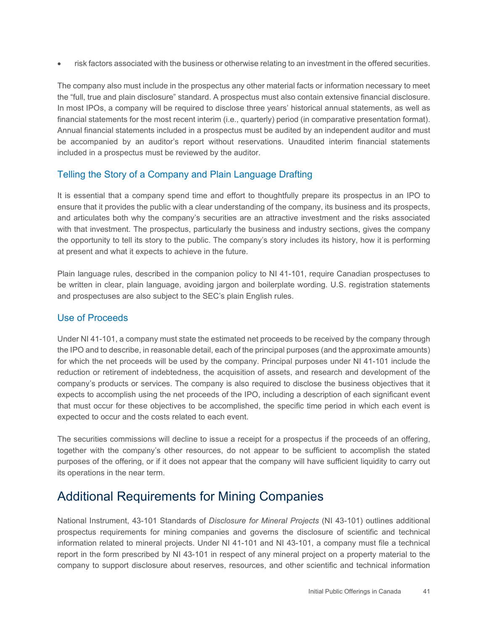• risk factors associated with the business or otherwise relating to an investment in the offered securities.

 In most IPOs, a company will be required to disclose three years' historical annual statements, as well as Annual financial statements included in a prospectus must be audited by an independent auditor and must The company also must include in the prospectus any other material facts or information necessary to meet the "full, true and plain disclosure" standard. A prospectus must also contain extensive financial disclosure. financial statements for the most recent interim (i.e., quarterly) period (in comparative presentation format). be accompanied by an auditor's report without reservations. Unaudited interim financial statements included in a prospectus must be reviewed by the auditor.

#### Telling the Story of a Company and Plain Language Drafting

 It is essential that a company spend time and effort to thoughtfully prepare its prospectus in an IPO to and articulates both why the company's securities are an attractive investment and the risks associated with that investment. The prospectus, particularly the business and industry sections, gives the company the opportunity to tell its story to the public. The company's story includes its history, how it is performing ensure that it provides the public with a clear understanding of the company, its business and its prospects, at present and what it expects to achieve in the future.

 Plain language rules, described in the companion policy to NI 41-101, require Canadian prospectuses to be written in clear, plain language, avoiding jargon and boilerplate wording. U.S. registration statements and prospectuses are also subject to the SEC's plain English rules.

#### Use of Proceeds

 for which the net proceeds will be used by the company. Principal purposes under NI 41-101 include the reduction or retirement of indebtedness, the acquisition of assets, and research and development of the company's products or services. The company is also required to disclose the business objectives that it that must occur for these objectives to be accomplished, the specific time period in which each event is Under NI 41-101, a company must state the estimated net proceeds to be received by the company through the IPO and to describe, in reasonable detail, each of the principal purposes (and the approximate amounts) expects to accomplish using the net proceeds of the IPO, including a description of each significant event expected to occur and the costs related to each event.

 The securities commissions will decline to issue a receipt for a prospectus if the proceeds of an offering, together with the company's other resources, do not appear to be sufficient to accomplish the stated purposes of the offering, or if it does not appear that the company will have sufficient liquidity to carry out its operations in the near term.

## <span id="page-46-0"></span>Additional Requirements for Mining Companies

 National Instrument, 43-101 Standards of *Disclosure for Mineral Projects* (NI 43-101) outlines additional information related to mineral projects. Under NI 41-101 and NI 43-101, a company must file a technical report in the form prescribed by NI 43-101 in respect of any mineral project on a property material to the company to support disclosure about reserves, resources, and other scientific and technical information prospectus requirements for mining companies and governs the disclosure of scientific and technical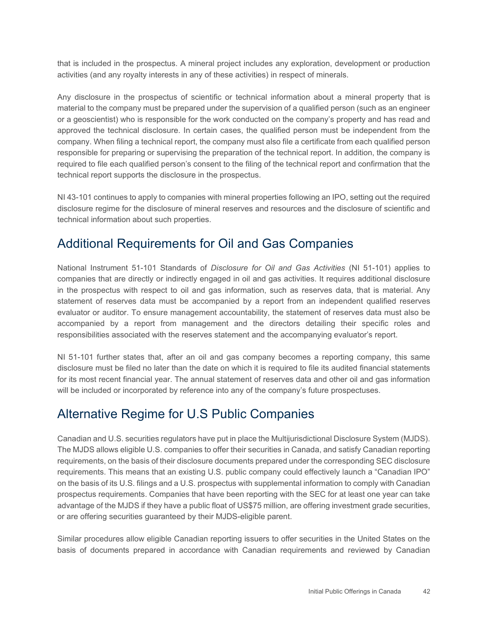that is included in the prospectus. A mineral project includes any exploration, development or production activities (and any royalty interests in any of these activities) in respect of minerals.

 Any disclosure in the prospectus of scientific or technical information about a mineral property that is approved the technical disclosure. In certain cases, the qualified person must be independent from the required to file each qualified person's consent to the filing of the technical report and confirmation that the material to the company must be prepared under the supervision of a qualified person (such as an engineer or a geoscientist) who is responsible for the work conducted on the company's property and has read and company. When filing a technical report, the company must also file a certificate from each qualified person responsible for preparing or supervising the preparation of the technical report. In addition, the company is technical report supports the disclosure in the prospectus.

NI 43-101 continues to apply to companies with mineral properties following an IPO, setting out the required disclosure regime for the disclosure of mineral reserves and resources and the disclosure of scientific and technical information about such properties.

## <span id="page-47-0"></span>Additional Requirements for Oil and Gas Companies

 National Instrument 51-101 Standards of *Disclosure for Oil and Gas Activities* (NI 51-101) applies to companies that are directly or indirectly engaged in oil and gas activities. It requires additional disclosure in the prospectus with respect to oil and gas information, such as reserves data, that is material. Any evaluator or auditor. To ensure management accountability, the statement of reserves data must also be statement of reserves data must be accompanied by a report from an independent qualified reserves accompanied by a report from management and the directors detailing their specific roles and responsibilities associated with the reserves statement and the accompanying evaluator's report.

 NI 51-101 further states that, after an oil and gas company becomes a reporting company, this same disclosure must be filed no later than the date on which it is required to file its audited financial statements for its most recent financial year. The annual statement of reserves data and other oil and gas information will be included or incorporated by reference into any of the company's future prospectuses.

## <span id="page-47-1"></span>Alternative Regime for U.S Public Companies

Canadian and U.S. securities regulators have put in place the Multijurisdictional Disclosure System (MJDS). The MJDS allows eligible U.S. companies to offer their securities in Canada, and satisfy Canadian reporting requirements, on the basis of their disclosure documents prepared under the corresponding SEC disclosure requirements. This means that an existing U.S. public company could effectively launch a "Canadian IPO" on the basis of its U.S. filings and a U.S. prospectus with supplemental information to comply with Canadian prospectus requirements. Companies that have been reporting with the SEC for at least one year can take advantage of the MJDS if they have a public float of US\$75 million, are offering investment grade securities, or are offering securities guaranteed by their MJDS-eligible parent.

Similar procedures allow eligible Canadian reporting issuers to offer securities in the United States on the basis of documents prepared in accordance with Canadian requirements and reviewed by Canadian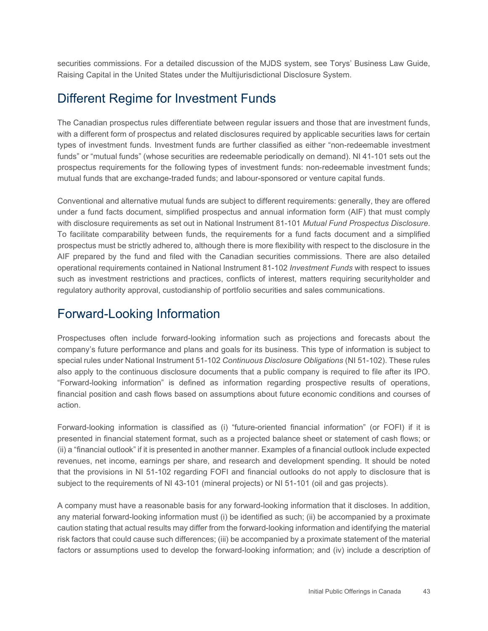securities commissions. For a detailed discussion of the MJDS system, see Torys' Business Law Guide, Raising Capital in the United States under the Multijurisdictional Disclosure System.

#### <span id="page-48-0"></span>Different Regime for Investment Funds

 The Canadian prospectus rules differentiate between regular issuers and those that are investment funds, types of investment funds. Investment funds are further classified as either "non-redeemable investment prospectus requirements for the following types of investment funds: non-redeemable investment funds; with a different form of prospectus and related disclosures required by applicable securities laws for certain funds" or "mutual funds" (whose securities are redeemable periodically on demand). NI 41-101 sets out the mutual funds that are exchange-traded funds; and labour-sponsored or venture capital funds.

 under a fund facts document, simplified prospectus and annual information form (AIF) that must comply Conventional and alternative mutual funds are subject to different requirements: generally, they are offered with disclosure requirements as set out in National Instrument 81-101 *Mutual Fund Prospectus Disclosure*. To facilitate comparability between funds, the requirements for a fund facts document and a simplified prospectus must be strictly adhered to, although there is more flexibility with respect to the disclosure in the AIF prepared by the fund and filed with the Canadian securities commissions. There are also detailed operational requirements contained in National Instrument 81-102 *Investment Funds* with respect to issues such as investment restrictions and practices, conflicts of interest, matters requiring securityholder and regulatory authority approval, custodianship of portfolio securities and sales communications.

#### <span id="page-48-1"></span>Forward-Looking Information

 Prospectuses often include forward-looking information such as projections and forecasts about the company's future performance and plans and goals for its business. This type of information is subject to also apply to the continuous disclosure documents that a public company is required to file after its IPO. "Forward-looking information" is defined as information regarding prospective results of operations, special rules under National Instrument 51-102 *Continuous Disclosure Obligations* (NI 51-102). These rules financial position and cash flows based on assumptions about future economic conditions and courses of action.

 (ii) a "financial outlook" if it is presented in another manner. Examples of a financial outlook include expected revenues, net income, earnings per share, and research and development spending. It should be noted that the provisions in NI 51-102 regarding FOFI and financial outlooks do not apply to disclosure that is Forward-looking information is classified as (i) "future-oriented financial information" (or FOFI) if it is presented in financial statement format, such as a projected balance sheet or statement of cash flows; or subject to the requirements of NI 43-101 (mineral projects) or NI 51-101 (oil and gas projects).

 factors or assumptions used to develop the forward-looking information; and (iv) include a description of A company must have a reasonable basis for any forward-looking information that it discloses. In addition, any material forward-looking information must (i) be identified as such; (ii) be accompanied by a proximate caution stating that actual results may differ from the forward-looking information and identifying the material risk factors that could cause such differences; (iii) be accompanied by a proximate statement of the material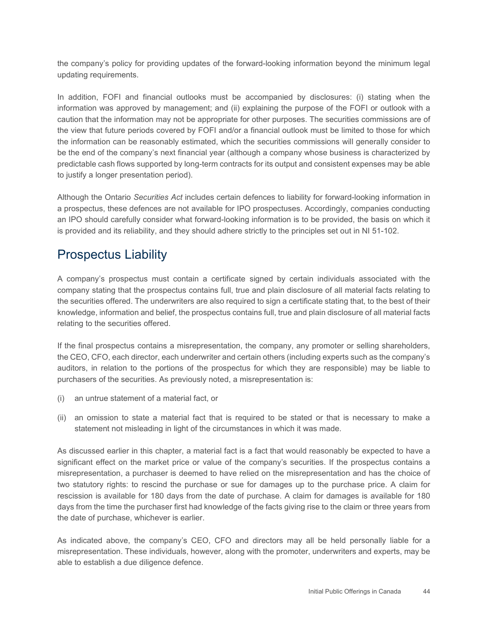the company's policy for providing updates of the forward-looking information beyond the minimum legal updating requirements.

 In addition, FOFI and financial outlooks must be accompanied by disclosures: (i) stating when the information was approved by management; and (ii) explaining the purpose of the FOFI or outlook with a the information can be reasonably estimated, which the securities commissions will generally consider to caution that the information may not be appropriate for other purposes. The securities commissions are of the view that future periods covered by FOFI and/or a financial outlook must be limited to those for which be the end of the company's next financial year (although a company whose business is characterized by predictable cash flows supported by long-term contracts for its output and consistent expenses may be able to justify a longer presentation period).

Although the Ontario *Securities Act* includes certain defences to liability for forward-looking information in a prospectus, these defences are not available for IPO prospectuses. Accordingly, companies conducting an IPO should carefully consider what forward-looking information is to be provided, the basis on which it is provided and its reliability, and they should adhere strictly to the principles set out in NI 51-102.

## <span id="page-49-0"></span>Prospectus Liability

 the securities offered. The underwriters are also required to sign a certificate stating that, to the best of their A company's prospectus must contain a certificate signed by certain individuals associated with the company stating that the prospectus contains full, true and plain disclosure of all material facts relating to knowledge, information and belief, the prospectus contains full, true and plain disclosure of all material facts relating to the securities offered.

 If the final prospectus contains a misrepresentation, the company, any promoter or selling shareholders, the CEO, CFO, each director, each underwriter and certain others (including experts such as the company's auditors, in relation to the portions of the prospectus for which they are responsible) may be liable to purchasers of the securities. As previously noted, a misrepresentation is:

- (i) an untrue statement of a material fact, or
- (ii) an omission to state a material fact that is required to be stated or that is necessary to make a statement not misleading in light of the circumstances in which it was made.

 As discussed earlier in this chapter, a material fact is a fact that would reasonably be expected to have a significant effect on the market price or value of the company's securities. If the prospectus contains a misrepresentation, a purchaser is deemed to have relied on the misrepresentation and has the choice of rescission is available for 180 days from the date of purchase. A claim for damages is available for 180 two statutory rights: to rescind the purchase or sue for damages up to the purchase price. A claim for days from the time the purchaser first had knowledge of the facts giving rise to the claim or three years from the date of purchase, whichever is earlier.

As indicated above, the company's CEO, CFO and directors may all be held personally liable for a misrepresentation. These individuals, however, along with the promoter, underwriters and experts, may be able to establish a due diligence defence.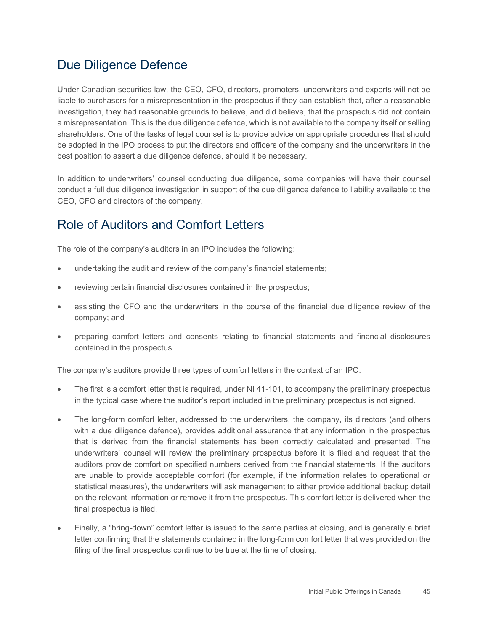## <span id="page-50-0"></span>Due Diligence Defence

Under Canadian securities law, the CEO, CFO, directors, promoters, underwriters and experts will not be liable to purchasers for a misrepresentation in the prospectus if they can establish that, after a reasonable investigation, they had reasonable grounds to believe, and did believe, that the prospectus did not contain a misrepresentation. This is the due diligence defence, which is not available to the company itself or selling shareholders. One of the tasks of legal counsel is to provide advice on appropriate procedures that should be adopted in the IPO process to put the directors and officers of the company and the underwriters in the best position to assert a due diligence defence, should it be necessary.

In addition to underwriters' counsel conducting due diligence, some companies will have their counsel conduct a full due diligence investigation in support of the due diligence defence to liability available to the CEO, CFO and directors of the company.

## <span id="page-50-1"></span>Role of Auditors and Comfort Letters

The role of the company's auditors in an IPO includes the following:

- undertaking the audit and review of the company's financial statements;
- reviewing certain financial disclosures contained in the prospectus;
- assisting the CFO and the underwriters in the course of the financial due diligence review of the company; and
- preparing comfort letters and consents relating to financial statements and financial disclosures contained in the prospectus.

The company's auditors provide three types of comfort letters in the context of an IPO.

- • The first is a comfort letter that is required, under NI 41-101, to accompany the preliminary prospectus in the typical case where the auditor's report included in the preliminary prospectus is not signed.
- • The long-form comfort letter, addressed to the underwriters, the company, its directors (and others with a due diligence defence), provides additional assurance that any information in the prospectus auditors provide comfort on specified numbers derived from the financial statements. If the auditors are unable to provide acceptable comfort (for example, if the information relates to operational or on the relevant information or remove it from the prospectus. This comfort letter is delivered when the that is derived from the financial statements has been correctly calculated and presented. The underwriters' counsel will review the preliminary prospectus before it is filed and request that the statistical measures), the underwriters will ask management to either provide additional backup detail final prospectus is filed.
- letter confirming that the statements contained in the long-form comfort letter that was provided on the • Finally, a "bring-down" comfort letter is issued to the same parties at closing, and is generally a brief filing of the final prospectus continue to be true at the time of closing.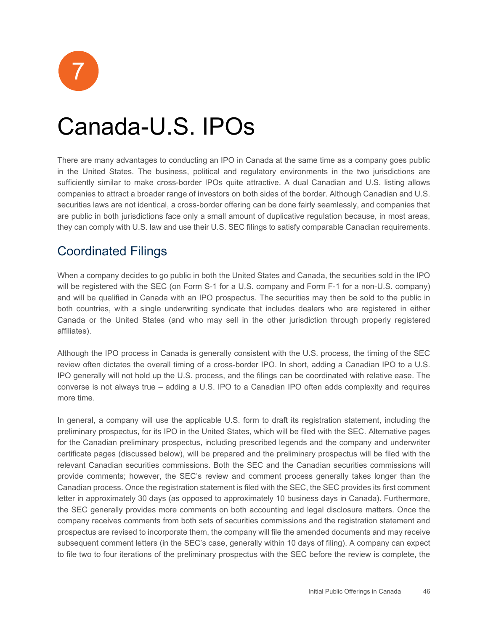

## <span id="page-51-0"></span>Canada-U.S. IPOs

 are public in both jurisdictions face only a small amount of duplicative regulation because, in most areas, they can comply with U.S. law and use their U.S. SEC filings to satisfy comparable Canadian requirements. There are many advantages to conducting an IPO in Canada at the same time as a company goes public in the United States. The business, political and regulatory environments in the two jurisdictions are sufficiently similar to make cross-border IPOs quite attractive. A dual Canadian and U.S. listing allows companies to attract a broader range of investors on both sides of the border. Although Canadian and U.S. securities laws are not identical, a cross-border offering can be done fairly seamlessly, and companies that

## <span id="page-51-1"></span>Coordinated Filings

 and will be qualified in Canada with an IPO prospectus. The securities may then be sold to the public in both countries, with a single underwriting syndicate that includes dealers who are registered in either When a company decides to go public in both the United States and Canada, the securities sold in the IPO will be registered with the SEC (on Form S-1 for a U.S. company and Form F-1 for a non-U.S. company) Canada or the United States (and who may sell in the other jurisdiction through properly registered affiliates).

 Although the IPO process in Canada is generally consistent with the U.S. process, the timing of the SEC review often dictates the overall timing of a cross-border IPO. In short, adding a Canadian IPO to a U.S. converse is not always true – adding a U.S. IPO to a Canadian IPO often adds complexity and requires IPO generally will not hold up the U.S. process, and the filings can be coordinated with relative ease. The more time.

 In general, a company will use the applicable U.S. form to draft its registration statement, including the certificate pages (discussed below), will be prepared and the preliminary prospectus will be filed with the relevant Canadian securities commissions. Both the SEC and the Canadian securities commissions will the SEC generally provides more comments on both accounting and legal disclosure matters. Once the to file two to four iterations of the preliminary prospectus with the SEC before the review is complete, the preliminary prospectus, for its IPO in the United States, which will be filed with the SEC. Alternative pages for the Canadian preliminary prospectus, including prescribed legends and the company and underwriter provide comments; however, the SEC's review and comment process generally takes longer than the Canadian process. Once the registration statement is filed with the SEC, the SEC provides its first comment letter in approximately 30 days (as opposed to approximately 10 business days in Canada). Furthermore, company receives comments from both sets of securities commissions and the registration statement and prospectus are revised to incorporate them, the company will file the amended documents and may receive subsequent comment letters (in the SEC's case, generally within 10 days of filing). A company can expect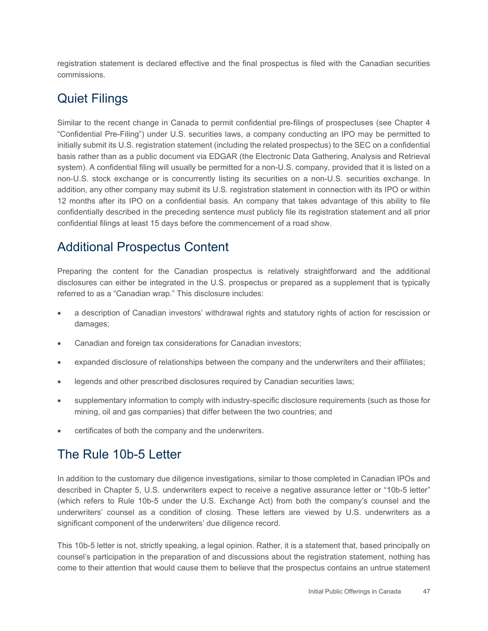registration statement is declared effective and the final prospectus is filed with the Canadian securities commissions.

## <span id="page-52-0"></span>Quiet Filings

 Similar to the recent change in Canada to permit confidential pre-filings of prospectuses (see Chapter 4 "Confidential Pre-Filing") under U.S. securities laws, a company conducting an IPO may be permitted to initially submit its U.S. registration statement (including the related prospectus) to the SEC on a confidential basis rather than as a public document via EDGAR (the Electronic Data Gathering, Analysis and Retrieval system). A confidential filing will usually be permitted for a non-U.S. company, provided that it is listed on a non-U.S. stock exchange or is concurrently listing its securities on a non-U.S. securities exchange. In addition, any other company may submit its U.S. registration statement in connection with its IPO or within 12 months after its IPO on a confidential basis. An company that takes advantage of this ability to file confidentially described in the preceding sentence must publicly file its registration statement and all prior confidential filings at least 15 days before the commencement of a road show.

## <span id="page-52-1"></span>Additional Prospectus Content

 Preparing the content for the Canadian prospectus is relatively straightforward and the additional disclosures can either be integrated in the U.S. prospectus or prepared as a supplement that is typically referred to as a "Canadian wrap." This disclosure includes:

- • a description of Canadian investors' withdrawal rights and statutory rights of action for rescission or damages;
- Canadian and foreign tax considerations for Canadian investors;
- expanded disclosure of relationships between the company and the underwriters and their affiliates;
- legends and other prescribed disclosures required by Canadian securities laws;
- supplementary information to comply with industry-specific disclosure requirements (such as those for mining, oil and gas companies) that differ between the two countries; and
- certificates of both the company and the underwriters.

## <span id="page-52-2"></span>The Rule 10b-5 Letter

 described in Chapter 5, U.S. underwriters expect to receive a negative assurance letter or "10b-5 letter" underwriters' counsel as a condition of closing. These letters are viewed by U.S. underwriters as a In addition to the customary due diligence investigations, similar to those completed in Canadian IPOs and (which refers to Rule 10b-5 under the U.S. Exchange Act) from both the company's counsel and the significant component of the underwriters' due diligence record.

This 10b-5 letter is not, strictly speaking, a legal opinion. Rather, it is a statement that, based principally on counsel's participation in the preparation of and discussions about the registration statement, nothing has come to their attention that would cause them to believe that the prospectus contains an untrue statement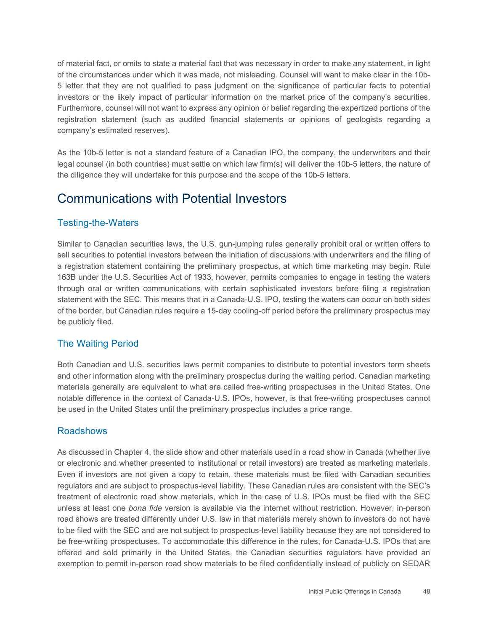of material fact, or omits to state a material fact that was necessary in order to make any statement, in light of the circumstances under which it was made, not misleading. Counsel will want to make clear in the 10b- registration statement (such as audited financial statements or opinions of geologists regarding a 5 letter that they are not qualified to pass judgment on the significance of particular facts to potential investors or the likely impact of particular information on the market price of the company's securities. Furthermore, counsel will not want to express any opinion or belief regarding the expertized portions of the company's estimated reserves).

 As the 10b-5 letter is not a standard feature of a Canadian IPO, the company, the underwriters and their legal counsel (in both countries) must settle on which law firm(s) will deliver the 10b-5 letters, the nature of the diligence they will undertake for this purpose and the scope of the 10b-5 letters.

#### <span id="page-53-0"></span>Communications with Potential Investors

#### Testing-the-Waters

 Similar to Canadian securities laws, the U.S. gun-jumping rules generally prohibit oral or written offers to a registration statement containing the preliminary prospectus, at which time marketing may begin. Rule sell securities to potential investors between the initiation of discussions with underwriters and the filing of 163B under the U.S. Securities Act of 1933, however, permits companies to engage in testing the waters through oral or written communications with certain sophisticated investors before filing a registration statement with the SEC. This means that in a Canada-U.S. IPO, testing the waters can occur on both sides of the border, but Canadian rules require a 15-day cooling-off period before the preliminary prospectus may be publicly filed.

#### The Waiting Period

 Both Canadian and U.S. securities laws permit companies to distribute to potential investors term sheets materials generally are equivalent to what are called free-writing prospectuses in the United States. One notable difference in the context of Canada-U.S. IPOs, however, is that free-writing prospectuses cannot and other information along with the preliminary prospectus during the waiting period. Canadian marketing be used in the United States until the preliminary prospectus includes a price range.

#### **Roadshows**

 or electronic and whether presented to institutional or retail investors) are treated as marketing materials. Even if investors are not given a copy to retain, these materials must be filed with Canadian securities treatment of electronic road show materials, which in the case of U.S. IPOs must be filed with the SEC unless at least one *bona fide* version is available via the internet without restriction. However, in-person road shows are treated differently under U.S. law in that materials merely shown to investors do not have As discussed in Chapter 4, the slide show and other materials used in a road show in Canada (whether live regulators and are subject to prospectus-level liability. These Canadian rules are consistent with the SEC's to be filed with the SEC and are not subject to prospectus-level liability because they are not considered to be free-writing prospectuses. To accommodate this difference in the rules, for Canada-U.S. IPOs that are offered and sold primarily in the United States, the Canadian securities regulators have provided an exemption to permit in-person road show materials to be filed confidentially instead of publicly on SEDAR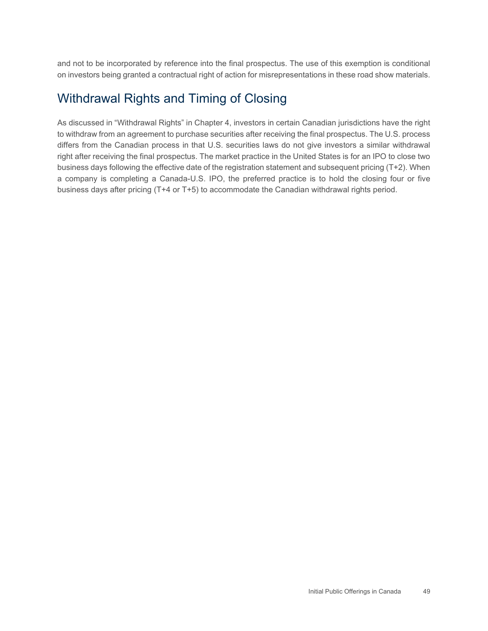and not to be incorporated by reference into the final prospectus. The use of this exemption is conditional on investors being granted a contractual right of action for misrepresentations in these road show materials.

#### <span id="page-54-0"></span>Withdrawal Rights and Timing of Closing

 differs from the Canadian process in that U.S. securities laws do not give investors a similar withdrawal As discussed in "Withdrawal Rights" in Chapter 4, investors in certain Canadian jurisdictions have the right to withdraw from an agreement to purchase securities after receiving the final prospectus. The U.S. process right after receiving the final prospectus. The market practice in the United States is for an IPO to close two business days following the effective date of the registration statement and subsequent pricing (T+2). When a company is completing a Canada-U.S. IPO, the preferred practice is to hold the closing four or five business days after pricing (T+4 or T+5) to accommodate the Canadian withdrawal rights period.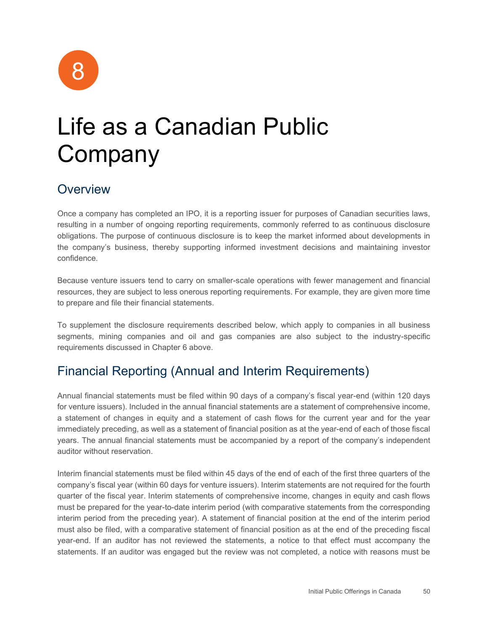

## <span id="page-55-0"></span>Life as a Canadian Public Company

#### <span id="page-55-1"></span>**Overview**

 Once a company has completed an IPO, it is a reporting issuer for purposes of Canadian securities laws, resulting in a number of ongoing reporting requirements, commonly referred to as continuous disclosure obligations. The purpose of continuous disclosure is to keep the market informed about developments in the company's business, thereby supporting informed investment decisions and maintaining investor confidence.

 Because venture issuers tend to carry on smaller-scale operations with fewer management and financial resources, they are subject to less onerous reporting requirements. For example, they are given more time to prepare and file their financial statements.

 segments, mining companies and oil and gas companies are also subject to the industry-specific To supplement the disclosure requirements described below, which apply to companies in all business requirements discussed in Chapter 6 above.

## <span id="page-55-2"></span>Financial Reporting (Annual and Interim Requirements)

 Annual financial statements must be filed within 90 days of a company's fiscal year-end (within 120 days years. The annual financial statements must be accompanied by a report of the company's independent for venture issuers). Included in the annual financial statements are a statement of comprehensive income, a statement of changes in equity and a statement of cash flows for the current year and for the year immediately preceding, as well as a statement of financial position as at the year-end of each of those fiscal auditor without reservation.

 quarter of the fiscal year. Interim statements of comprehensive income, changes in equity and cash flows interim period from the preceding year). A statement of financial position at the end of the interim period statements. If an auditor was engaged but the review was not completed, a notice with reasons must be Interim financial statements must be filed within 45 days of the end of each of the first three quarters of the company's fiscal year (within 60 days for venture issuers). Interim statements are not required for the fourth must be prepared for the year-to-date interim period (with comparative statements from the corresponding must also be filed, with a comparative statement of financial position as at the end of the preceding fiscal year-end. If an auditor has not reviewed the statements, a notice to that effect must accompany the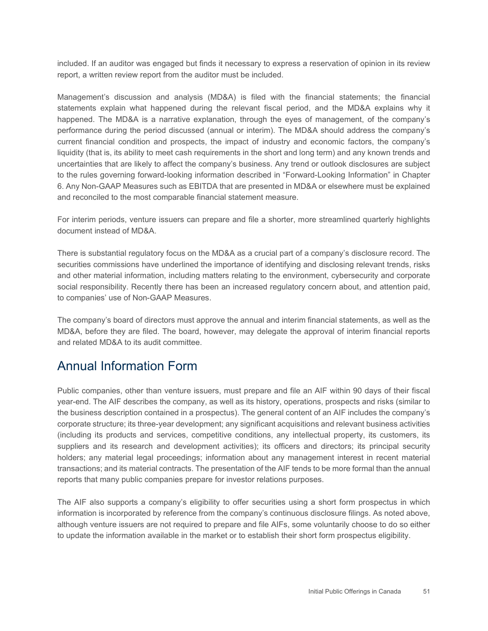included. If an auditor was engaged but finds it necessary to express a reservation of opinion in its review report, a written review report from the auditor must be included.

 Management's discussion and analysis (MD&A) is filed with the financial statements; the financial happened. The MD&A is a narrative explanation, through the eyes of management, of the company's performance during the period discussed (annual or interim). The MD&A should address the company's uncertainties that are likely to affect the company's business. Any trend or outlook disclosures are subject to the rules governing forward-looking information described in "Forward-Looking Information" in Chapter statements explain what happened during the relevant fiscal period, and the MD&A explains why it current financial condition and prospects, the impact of industry and economic factors, the company's liquidity (that is, its ability to meet cash requirements in the short and long term) and any known trends and 6. Any Non-GAAP Measures such as EBITDA that are presented in MD&A or elsewhere must be explained and reconciled to the most comparable financial statement measure.

 For interim periods, venture issuers can prepare and file a shorter, more streamlined quarterly highlights document instead of MD&A.

 There is substantial regulatory focus on the MD&A as a crucial part of a company's disclosure record. The social responsibility. Recently there has been an increased regulatory concern about, and attention paid, securities commissions have underlined the importance of identifying and disclosing relevant trends, risks and other material information, including matters relating to the environment, cybersecurity and corporate to companies' use of Non-GAAP Measures.

 MD&A, before they are filed. The board, however, may delegate the approval of interim financial reports The company's board of directors must approve the annual and interim financial statements, as well as the and related MD&A to its audit committee.

#### <span id="page-56-0"></span>Annual Information Form

 Public companies, other than venture issuers, must prepare and file an AIF within 90 days of their fiscal year-end. The AIF describes the company, as well as its history, operations, prospects and risks (similar to the business description contained in a prospectus). The general content of an AIF includes the company's corporate structure; its three-year development; any significant acquisitions and relevant business activities (including its products and services, competitive conditions, any intellectual property, its customers, its suppliers and its research and development activities); its officers and directors; its principal security holders; any material legal proceedings; information about any management interest in recent material transactions; and its material contracts. The presentation of the AIF tends to be more formal than the annual reports that many public companies prepare for investor relations purposes.

 The AIF also supports a company's eligibility to offer securities using a short form prospectus in which information is incorporated by reference from the company's continuous disclosure filings. As noted above, although venture issuers are not required to prepare and file AIFs, some voluntarily choose to do so either to update the information available in the market or to establish their short form prospectus eligibility.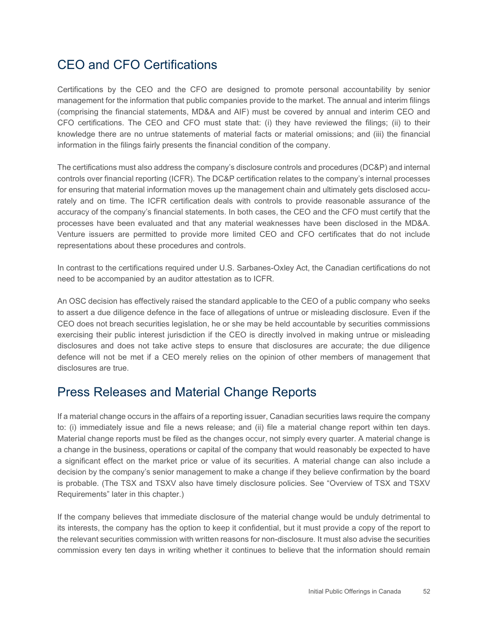## <span id="page-57-0"></span>CEO and CFO Certifications

 (comprising the financial statements, MD&A and AIF) must be covered by annual and interim CEO and knowledge there are no untrue statements of material facts or material omissions; and (iii) the financial Certifications by the CEO and the CFO are designed to promote personal accountability by senior management for the information that public companies provide to the market. The annual and interim filings CFO certifications. The CEO and CFO must state that: (i) they have reviewed the filings; (ii) to their information in the filings fairly presents the financial condition of the company.

 for ensuring that material information moves up the management chain and ultimately gets disclosed accu-The certifications must also address the company's disclosure controls and procedures (DC&P) and internal controls over financial reporting (ICFR). The DC&P certification relates to the company's internal processes rately and on time. The ICFR certification deals with controls to provide reasonable assurance of the accuracy of the company's financial statements. In both cases, the CEO and the CFO must certify that the processes have been evaluated and that any material weaknesses have been disclosed in the MD&A. Venture issuers are permitted to provide more limited CEO and CFO certificates that do not include representations about these procedures and controls.

In contrast to the certifications required under U.S. Sarbanes-Oxley Act, the Canadian certifications do not need to be accompanied by an auditor attestation as to ICFR.

 exercising their public interest jurisdiction if the CEO is directly involved in making untrue or misleading An OSC decision has effectively raised the standard applicable to the CEO of a public company who seeks to assert a due diligence defence in the face of allegations of untrue or misleading disclosure. Even if the CEO does not breach securities legislation, he or she may be held accountable by securities commissions disclosures and does not take active steps to ensure that disclosures are accurate; the due diligence defence will not be met if a CEO merely relies on the opinion of other members of management that disclosures are true.

## <span id="page-57-1"></span>Press Releases and Material Change Reports

 is probable. (The TSX and TSXV also have timely disclosure policies. See "Overview of TSX and TSXV If a material change occurs in the affairs of a reporting issuer, Canadian securities laws require the company to: (i) immediately issue and file a news release; and (ii) file a material change report within ten days. Material change reports must be filed as the changes occur, not simply every quarter. A material change is a change in the business, operations or capital of the company that would reasonably be expected to have a significant effect on the market price or value of its securities. A material change can also include a decision by the company's senior management to make a change if they believe confirmation by the board Requirements" later in this chapter.)

 If the company believes that immediate disclosure of the material change would be unduly detrimental to the relevant securities commission with written reasons for non-disclosure. It must also advise the securities commission every ten days in writing whether it continues to believe that the information should remain its interests, the company has the option to keep it confidential, but it must provide a copy of the report to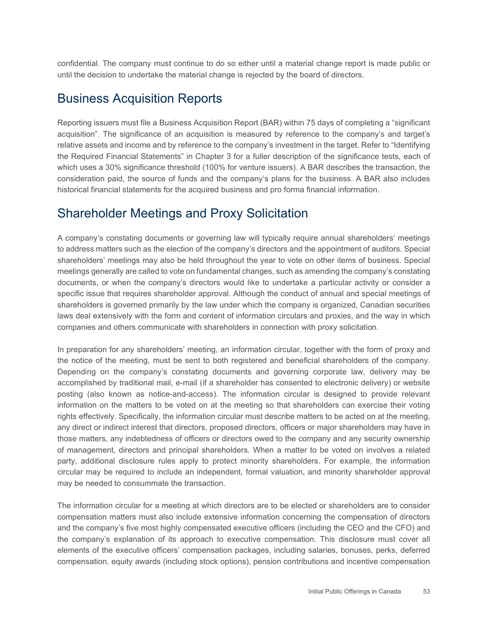confidential. The company must continue to do so either until a material change report is made public or until the decision to undertake the material change is rejected by the board of directors.

#### <span id="page-58-0"></span>Business Acquisition Reports

 acquisition". The significance of an acquisition is measured by reference to the company's and target's the Required Financial Statements" in Chapter 3 for a fuller description of the significance tests, each of consideration paid, the source of funds and the company's plans for the business. A BAR also includes Reporting issuers must file a Business Acquisition Report (BAR) within 75 days of completing a "significant relative assets and income and by reference to the company's investment in the target. Refer to "Identifying which uses a 30% significance threshold (100% for venture issuers). A BAR describes the transaction, the historical financial statements for the acquired business and pro forma financial information.

#### <span id="page-58-1"></span>Shareholder Meetings and Proxy Solicitation

 A company's constating documents or governing law will typically require annual shareholders' meetings to address matters such as the election of the company's directors and the appointment of auditors. Special shareholders' meetings may also be held throughout the year to vote on other items of business. Special shareholders is governed primarily by the law under which the company is organized, Canadian securities laws deal extensively with the form and content of information circulars and proxies, and the way in which meetings generally are called to vote on fundamental changes, such as amending the company's constating documents, or when the company's directors would like to undertake a particular activity or consider a specific issue that requires shareholder approval. Although the conduct of annual and special meetings of companies and others communicate with shareholders in connection with proxy solicitation.

 In preparation for any shareholders' meeting, an information circular, together with the form of proxy and the notice of the meeting, must be sent to both registered and beneficial shareholders of the company. any direct or indirect interest that directors, proposed directors, officers or major shareholders may have in of management, directors and principal shareholders. When a matter to be voted on involves a related circular may be required to include an independent, formal valuation, and minority shareholder approval Depending on the company's constating documents and governing corporate law, delivery may be accomplished by traditional mail, e-mail (if a shareholder has consented to electronic delivery) or website posting (also known as notice-and-access). The information circular is designed to provide relevant information on the matters to be voted on at the meeting so that shareholders can exercise their voting rights effectively. Specifically, the information circular must describe matters to be acted on at the meeting, those matters, any indebtedness of officers or directors owed to the company and any security ownership party, additional disclosure rules apply to protect minority shareholders. For example, the information may be needed to consummate the transaction.

 compensation matters must also include extensive information concerning the compensation of directors elements of the executive officers' compensation packages, including salaries, bonuses, perks, deferred The information circular for a meeting at which directors are to be elected or shareholders are to consider and the company's five most highly compensated executive officers (including the CEO and the CFO) and the company's explanation of its approach to executive compensation. This disclosure must cover all compensation, equity awards (including stock options), pension contributions and incentive compensation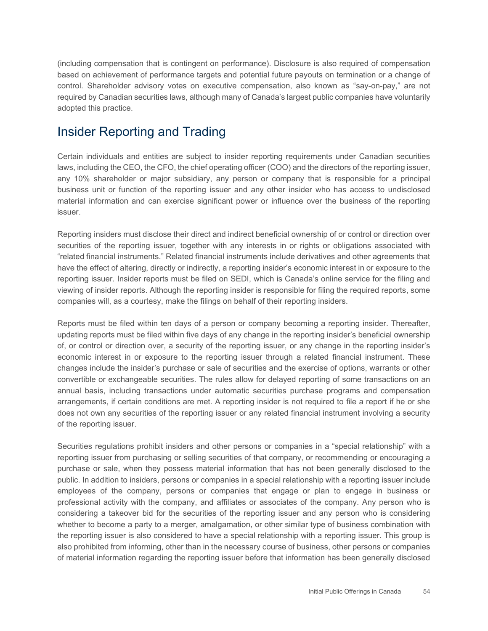(including compensation that is contingent on performance). Disclosure is also required of compensation required by Canadian securities laws, although many of Canada's largest public companies have voluntarily based on achievement of performance targets and potential future payouts on termination or a change of control. Shareholder advisory votes on executive compensation, also known as "say-on-pay," are not adopted this practice.

#### <span id="page-59-0"></span>Insider Reporting and Trading

 Certain individuals and entities are subject to insider reporting requirements under Canadian securities laws, including the CEO, the CFO, the chief operating officer (COO) and the directors of the reporting issuer, any 10% shareholder or major subsidiary, any person or company that is responsible for a principal business unit or function of the reporting issuer and any other insider who has access to undisclosed material information and can exercise significant power or influence over the business of the reporting issuer.

 Reporting insiders must disclose their direct and indirect beneficial ownership of or control or direction over "related financial instruments." Related financial instruments include derivatives and other agreements that securities of the reporting issuer, together with any interests in or rights or obligations associated with have the effect of altering, directly or indirectly, a reporting insider's economic interest in or exposure to the reporting issuer. Insider reports must be filed on SEDI, which is Canada's online service for the filing and viewing of insider reports. Although the reporting insider is responsible for filing the required reports, some companies will, as a courtesy, make the filings on behalf of their reporting insiders.

 Reports must be filed within ten days of a person or company becoming a reporting insider. Thereafter, of, or control or direction over, a security of the reporting issuer, or any change in the reporting insider's convertible or exchangeable securities. The rules allow for delayed reporting of some transactions on an arrangements, if certain conditions are met. A reporting insider is not required to file a report if he or she does not own any securities of the reporting issuer or any related financial instrument involving a security updating reports must be filed within five days of any change in the reporting insider's beneficial ownership economic interest in or exposure to the reporting issuer through a related financial instrument. These changes include the insider's purchase or sale of securities and the exercise of options, warrants or other annual basis, including transactions under automatic securities purchase programs and compensation of the reporting issuer.

 Securities regulations prohibit insiders and other persons or companies in a "special relationship" with a the reporting issuer is also considered to have a special relationship with a reporting issuer. This group is reporting issuer from purchasing or selling securities of that company, or recommending or encouraging a purchase or sale, when they possess material information that has not been generally disclosed to the public. In addition to insiders, persons or companies in a special relationship with a reporting issuer include employees of the company, persons or companies that engage or plan to engage in business or professional activity with the company, and affiliates or associates of the company. Any person who is considering a takeover bid for the securities of the reporting issuer and any person who is considering whether to become a party to a merger, amalgamation, or other similar type of business combination with also prohibited from informing, other than in the necessary course of business, other persons or companies of material information regarding the reporting issuer before that information has been generally disclosed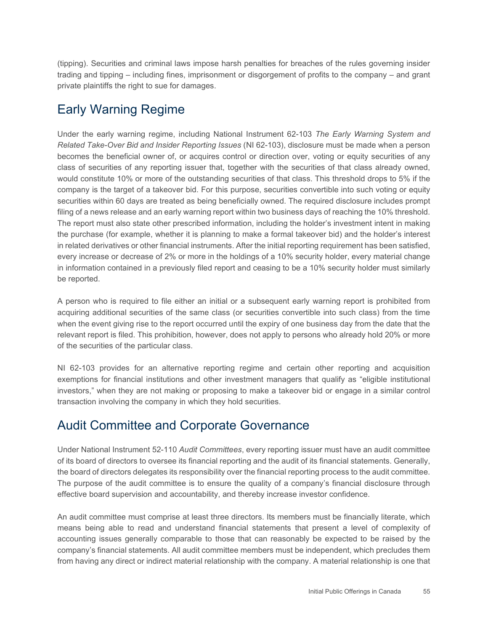(tipping). Securities and criminal laws impose harsh penalties for breaches of the rules governing insider trading and tipping – including fines, imprisonment or disgorgement of profits to the company – and grant private plaintiffs the right to sue for damages.

## <span id="page-60-0"></span>Early Warning Regime

 becomes the beneficial owner of, or acquires control or direction over, voting or equity securities of any class of securities of any reporting issuer that, together with the securities of that class already owned, the purchase (for example, whether it is planning to make a formal takeover bid) and the holder's interest every increase or decrease of 2% or more in the holdings of a 10% security holder, every material change Under the early warning regime, including National Instrument 62-103 *The Early Warning System and Related Take-Over Bid and Insider Reporting Issues* (NI 62-103), disclosure must be made when a person would constitute 10% or more of the outstanding securities of that class. This threshold drops to 5% if the company is the target of a takeover bid. For this purpose, securities convertible into such voting or equity securities within 60 days are treated as being beneficially owned. The required disclosure includes prompt filing of a news release and an early warning report within two business days of reaching the 10% threshold. The report must also state other prescribed information, including the holder's investment intent in making in related derivatives or other financial instruments. After the initial reporting requirement has been satisfied, in information contained in a previously filed report and ceasing to be a 10% security holder must similarly be reported.

 A person who is required to file either an initial or a subsequent early warning report is prohibited from acquiring additional securities of the same class (or securities convertible into such class) from the time when the event giving rise to the report occurred until the expiry of one business day from the date that the relevant report is filed. This prohibition, however, does not apply to persons who already hold 20% or more of the securities of the particular class.

 NI 62-103 provides for an alternative reporting regime and certain other reporting and acquisition investors," when they are not making or proposing to make a takeover bid or engage in a similar control exemptions for financial institutions and other investment managers that qualify as "eligible institutional transaction involving the company in which they hold securities.

#### <span id="page-60-1"></span>Audit Committee and Corporate Governance

 The purpose of the audit committee is to ensure the quality of a company's financial disclosure through Under National Instrument 52-110 *Audit Committees*, every reporting issuer must have an audit committee of its board of directors to oversee its financial reporting and the audit of its financial statements. Generally, the board of directors delegates its responsibility over the financial reporting process to the audit committee. effective board supervision and accountability, and thereby increase investor confidence.

 company's financial statements. All audit committee members must be independent, which precludes them An audit committee must comprise at least three directors. Its members must be financially literate, which means being able to read and understand financial statements that present a level of complexity of accounting issues generally comparable to those that can reasonably be expected to be raised by the from having any direct or indirect material relationship with the company. A material relationship is one that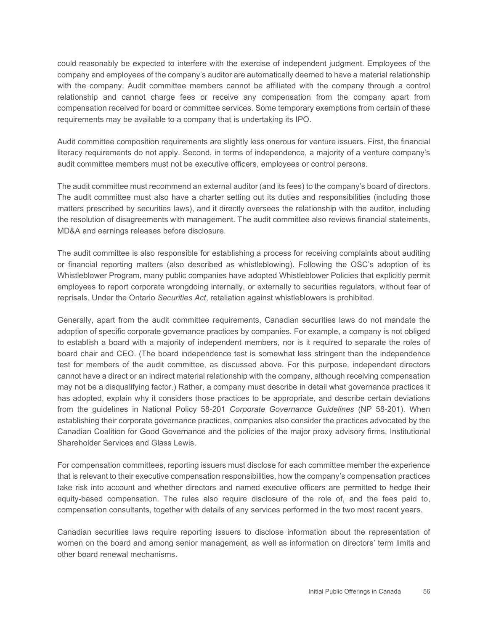could reasonably be expected to interfere with the exercise of independent judgment. Employees of the relationship and cannot charge fees or receive any compensation from the company apart from company and employees of the company's auditor are automatically deemed to have a material relationship with the company. Audit committee members cannot be affiliated with the company through a control compensation received for board or committee services. Some temporary exemptions from certain of these requirements may be available to a company that is undertaking its IPO.

 literacy requirements do not apply. Second, in terms of independence, a majority of a venture company's Audit committee composition requirements are slightly less onerous for venture issuers. First, the financial audit committee members must not be executive officers, employees or control persons.

 The audit committee must recommend an external auditor (and its fees) to the company's board of directors. The audit committee must also have a charter setting out its duties and responsibilities (including those matters prescribed by securities laws), and it directly oversees the relationship with the auditor, including the resolution of disagreements with management. The audit committee also reviews financial statements, MD&A and earnings releases before disclosure.

 employees to report corporate wrongdoing internally, or externally to securities regulators, without fear of The audit committee is also responsible for establishing a process for receiving complaints about auditing or financial reporting matters (also described as whistleblowing). Following the OSC's adoption of its Whistleblower Program, many public companies have adopted Whistleblower Policies that explicitly permit reprisals. Under the Ontario *Securities Act*, retaliation against whistleblowers is prohibited.

 to establish a board with a majority of independent members, nor is it required to separate the roles of board chair and CEO. (The board independence test is somewhat less stringent than the independence has adopted, explain why it considers those practices to be appropriate, and describe certain deviations Canadian Coalition for Good Governance and the policies of the major proxy advisory firms, Institutional Generally, apart from the audit committee requirements, Canadian securities laws do not mandate the adoption of specific corporate governance practices by companies. For example, a company is not obliged test for members of the audit committee, as discussed above. For this purpose, independent directors cannot have a direct or an indirect material relationship with the company, although receiving compensation may not be a disqualifying factor.) Rather, a company must describe in detail what governance practices it from the guidelines in National Policy 58-201 *Corporate Governance Guidelines* (NP 58-201). When establishing their corporate governance practices, companies also consider the practices advocated by the Shareholder Services and Glass Lewis.

 take risk into account and whether directors and named executive officers are permitted to hedge their For compensation committees, reporting issuers must disclose for each committee member the experience that is relevant to their executive compensation responsibilities, how the company's compensation practices equity-based compensation. The rules also require disclosure of the role of, and the fees paid to, compensation consultants, together with details of any services performed in the two most recent years.

 women on the board and among senior management, as well as information on directors' term limits and Canadian securities laws require reporting issuers to disclose information about the representation of other board renewal mechanisms.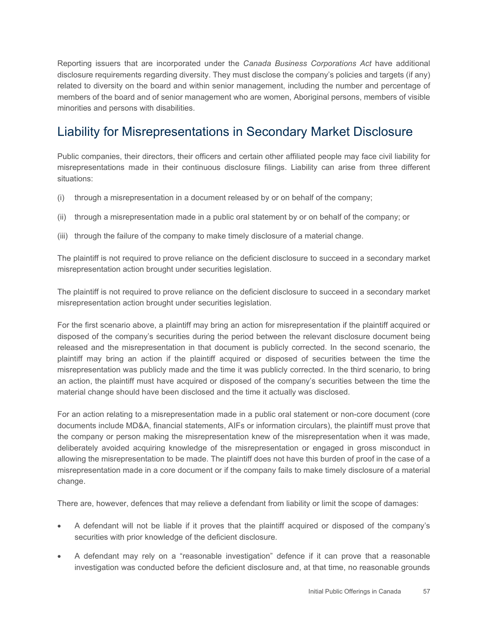related to diversity on the board and within senior management, including the number and percentage of Reporting issuers that are incorporated under the *Canada Business Corporations Act* have additional disclosure requirements regarding diversity. They must disclose the company's policies and targets (if any) members of the board and of senior management who are women, Aboriginal persons, members of visible minorities and persons with disabilities.

## <span id="page-62-0"></span>Liability for Misrepresentations in Secondary Market Disclosure

Public companies, their directors, their officers and certain other affiliated people may face civil liability for misrepresentations made in their continuous disclosure filings. Liability can arise from three different situations:

- (i) through a misrepresentation in a document released by or on behalf of the company;
- (ii) through a misrepresentation made in a public oral statement by or on behalf of the company; or
- (iii) through the failure of the company to make timely disclosure of a material change.

The plaintiff is not required to prove reliance on the deficient disclosure to succeed in a secondary market misrepresentation action brought under securities legislation.

The plaintiff is not required to prove reliance on the deficient disclosure to succeed in a secondary market misrepresentation action brought under securities legislation.

 disposed of the company's securities during the period between the relevant disclosure document being released and the misrepresentation in that document is publicly corrected. In the second scenario, the an action, the plaintiff must have acquired or disposed of the company's securities between the time the For the first scenario above, a plaintiff may bring an action for misrepresentation if the plaintiff acquired or plaintiff may bring an action if the plaintiff acquired or disposed of securities between the time the misrepresentation was publicly made and the time it was publicly corrected. In the third scenario, to bring material change should have been disclosed and the time it actually was disclosed.

 the company or person making the misrepresentation knew of the misrepresentation when it was made, deliberately avoided acquiring knowledge of the misrepresentation or engaged in gross misconduct in allowing the misrepresentation to be made. The plaintiff does not have this burden of proof in the case of a For an action relating to a misrepresentation made in a public oral statement or non-core document (core documents include MD&A, financial statements, AIFs or information circulars), the plaintiff must prove that misrepresentation made in a core document or if the company fails to make timely disclosure of a material change.

There are, however, defences that may relieve a defendant from liability or limit the scope of damages:

- A defendant will not be liable if it proves that the plaintiff acquired or disposed of the company's securities with prior knowledge of the deficient disclosure.
- A defendant may rely on a "reasonable investigation" defence if it can prove that a reasonable investigation was conducted before the deficient disclosure and, at that time, no reasonable grounds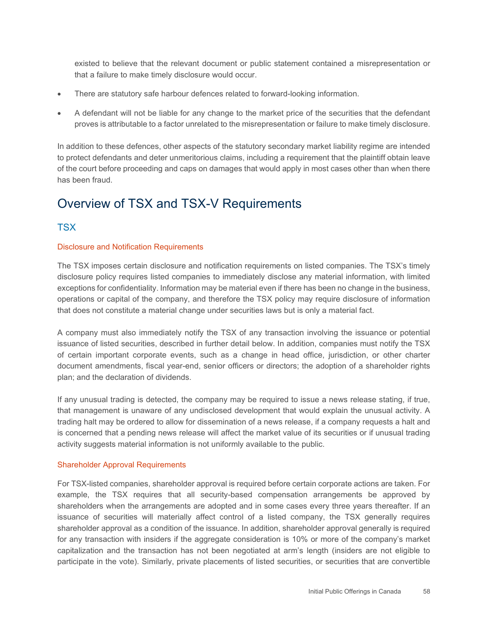existed to believe that the relevant document or public statement contained a misrepresentation or that a failure to make timely disclosure would occur.

- There are statutory safe harbour defences related to forward-looking information.
- • A defendant will not be liable for any change to the market price of the securities that the defendant proves is attributable to a factor unrelated to the misrepresentation or failure to make timely disclosure.

In addition to these defences, other aspects of the statutory secondary market liability regime are intended to protect defendants and deter unmeritorious claims, including a requirement that the plaintiff obtain leave of the court before proceeding and caps on damages that would apply in most cases other than when there has been fraud.

#### <span id="page-63-0"></span>Overview of TSX and TSX-V Requirements

#### **TSX**

#### Disclosure and Notification Requirements

 disclosure policy requires listed companies to immediately disclose any material information, with limited operations or capital of the company, and therefore the TSX policy may require disclosure of information The TSX imposes certain disclosure and notification requirements on listed companies. The TSX's timely exceptions for confidentiality. Information may be material even if there has been no change in the business, that does not constitute a material change under securities laws but is only a material fact.

 A company must also immediately notify the TSX of any transaction involving the issuance or potential issuance of listed securities, described in further detail below. In addition, companies must notify the TSX document amendments, fiscal year-end, senior officers or directors; the adoption of a shareholder rights of certain important corporate events, such as a change in head office, jurisdiction, or other charter plan; and the declaration of dividends.

 If any unusual trading is detected, the company may be required to issue a news release stating, if true, that management is unaware of any undisclosed development that would explain the unusual activity. A trading halt may be ordered to allow for dissemination of a news release, if a company requests a halt and is concerned that a pending news release will affect the market value of its securities or if unusual trading activity suggests material information is not uniformly available to the public.

#### Shareholder Approval Requirements

 For TSX-listed companies, shareholder approval is required before certain corporate actions are taken. For shareholders when the arrangements are adopted and in some cases every three years thereafter. If an for any transaction with insiders if the aggregate consideration is 10% or more of the company's market participate in the vote). Similarly, private placements of listed securities, or securities that are convertible example, the TSX requires that all security-based compensation arrangements be approved by issuance of securities will materially affect control of a listed company, the TSX generally requires shareholder approval as a condition of the issuance. In addition, shareholder approval generally is required capitalization and the transaction has not been negotiated at arm's length (insiders are not eligible to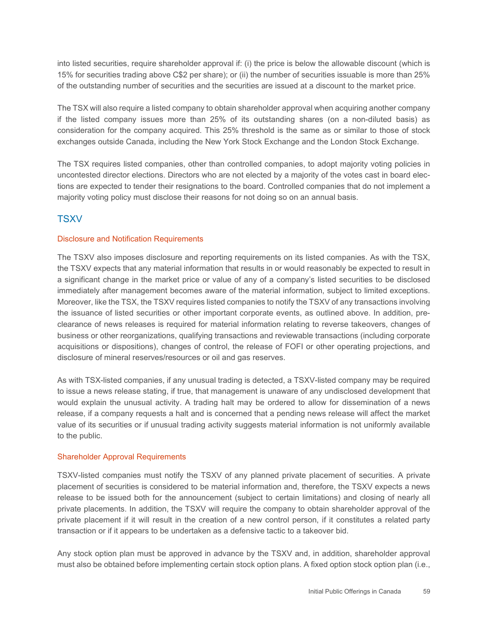into listed securities, require shareholder approval if: (i) the price is below the allowable discount (which is 15% for securities trading above C\$2 per share); or (ii) the number of securities issuable is more than 25% of the outstanding number of securities and the securities are issued at a discount to the market price.

 consideration for the company acquired. This 25% threshold is the same as or similar to those of stock The TSX will also require a listed company to obtain shareholder approval when acquiring another company if the listed company issues more than 25% of its outstanding shares (on a non-diluted basis) as exchanges outside Canada, including the New York Stock Exchange and the London Stock Exchange.

 The TSX requires listed companies, other than controlled companies, to adopt majority voting policies in uncontested director elections. Directors who are not elected by a majority of the votes cast in board elections are expected to tender their resignations to the board. Controlled companies that do not implement a majority voting policy must disclose their reasons for not doing so on an annual basis.

#### **TSXV**

#### Disclosure and Notification Requirements

 The TSXV also imposes disclosure and reporting requirements on its listed companies. As with the TSX, a significant change in the market price or value of any of a company's listed securities to be disclosed immediately after management becomes aware of the material information, subject to limited exceptions. the issuance of listed securities or other important corporate events, as outlined above. In addition, pre- clearance of news releases is required for material information relating to reverse takeovers, changes of acquisitions or dispositions), changes of control, the release of FOFI or other operating projections, and the TSXV expects that any material information that results in or would reasonably be expected to result in Moreover, like the TSX, the TSXV requires listed companies to notify the TSXV of any transactions involving business or other reorganizations, qualifying transactions and reviewable transactions (including corporate disclosure of mineral reserves/resources or oil and gas reserves.

 value of its securities or if unusual trading activity suggests material information is not uniformly available As with TSX-listed companies, if any unusual trading is detected, a TSXV-listed company may be required to issue a news release stating, if true, that management is unaware of any undisclosed development that would explain the unusual activity. A trading halt may be ordered to allow for dissemination of a news release, if a company requests a halt and is concerned that a pending news release will affect the market to the public.

#### Shareholder Approval Requirements

 release to be issued both for the announcement (subject to certain limitations) and closing of nearly all private placements. In addition, the TSXV will require the company to obtain shareholder approval of the TSXV-listed companies must notify the TSXV of any planned private placement of securities. A private placement of securities is considered to be material information and, therefore, the TSXV expects a news private placement if it will result in the creation of a new control person, if it constitutes a related party transaction or if it appears to be undertaken as a defensive tactic to a takeover bid.

 Any stock option plan must be approved in advance by the TSXV and, in addition, shareholder approval must also be obtained before implementing certain stock option plans. A fixed option stock option plan (i.e.,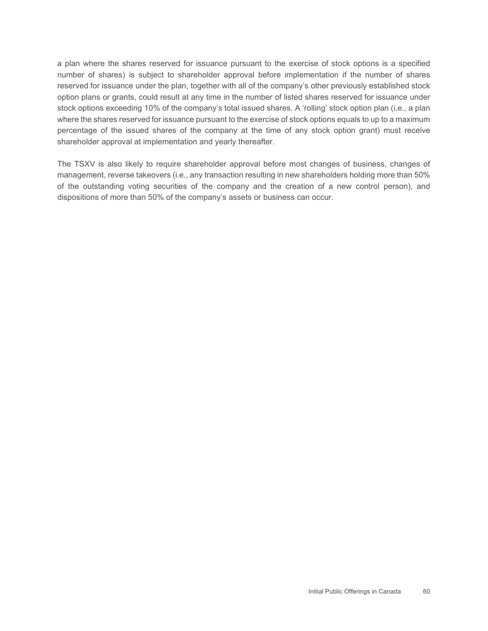a plan where the shares reserved for issuance pursuant to the exercise of stock options is a specified number of shares) is subject to shareholder approval before implementation if the number of shares reserved for issuance under the plan, together with all of the company's other previously established stock option plans or grants, could result at any time in the number of listed shares reserved for issuance under stock options exceeding 10% of the company's total issued shares. A 'rolling' stock option plan (i.e., a plan where the shares reserved for issuance pursuant to the exercise of stock options equals to up to a maximum percentage of the issued shares of the company at the time of any stock option grant) must receive shareholder approval at implementation and yearly thereafter.

The TSXV is also likely to require shareholder approval before most changes of business, changes of management, reverse takeovers (i.e., any transaction resulting in new shareholders holding more than 50% of the outstanding voting securities of the company and the creation of a new control person), and dispositions of more than 50% of the company's assets or business can occur.